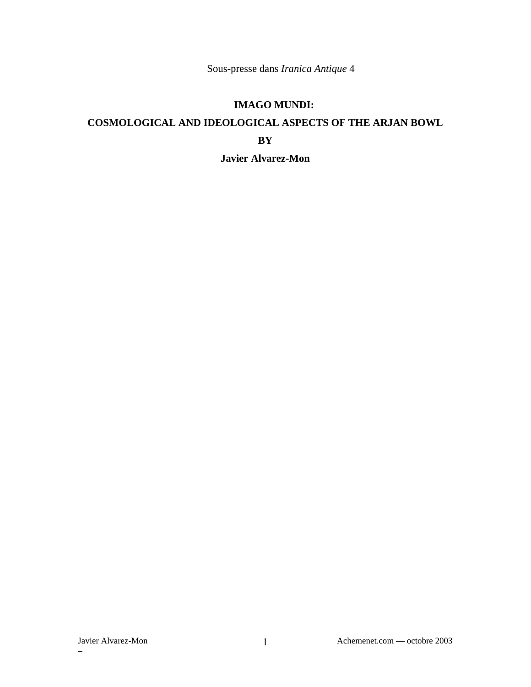Sous-presse dans *Iranica Antique* 4

## **IMAGO MUNDI:**

## **COSMOLOGICAL AND IDEOLOGICAL ASPECTS OF THE ARJAN BOWL BY**

## **Javier Alvarez-Mon**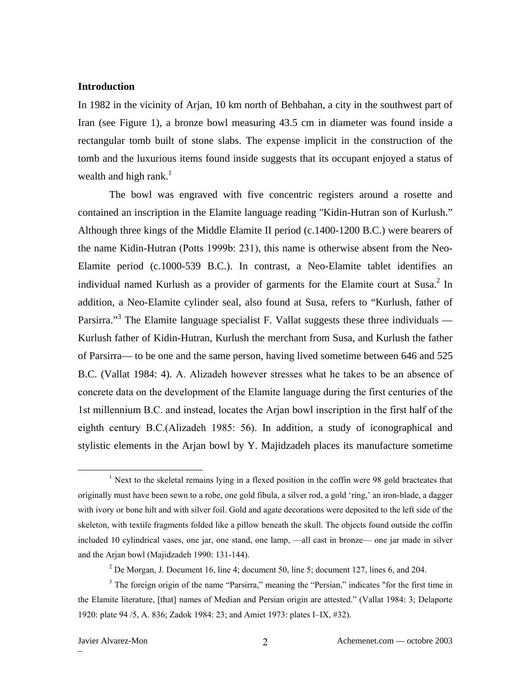## **Introduction**

In 1982 in the vicinity of Arjan, 10 km north of Behbahan, a city in the southwest part of Iran (see Figure 1), a bronze bowl measuring 43.5 cm in diameter was found inside a rectangular tomb built of stone slabs. The expense implicit in the construction of the tomb and the luxurious items found inside suggests that its occupant enjoyed a status of wealth and high rank. $<sup>1</sup>$  $<sup>1</sup>$  $<sup>1</sup>$ </sup>

The bowl was engraved with five concentric registers around a rosette and contained an inscription in the Elamite language reading "Kidin-Hutran son of Kurlush." Although three kings of the Middle Elamite II period (c.1400-1200 B.C.) were bearers of the name Kidin-Hutran (Potts 1999b: 231), this name is otherwise absent from the Neo-Elamite period (c.1000-539 B.C.). In contrast, a Neo-Elamite tablet identifies an individual named Kurlush as a provider of garments for the Elamite court at Susa. $^2$  In addition, a Neo-Elamite cylinder seal, also found at Susa, refers to "Kurlush, father of Parsirra."<sup>[3](#page-1-2)</sup> The Elamite language specialist F. Vallat suggests these three individuals  $-$ Kurlush father of Kidin-Hutran, Kurlush the merchant from Susa, and Kurlush the father of Parsirra— to be one and the same person, having lived sometime between 646 and 525 B.C. (Vallat 1984: 4). A. Alizadeh however stresses what he takes to be an absence of concrete data on the development of the Elamite language during the first centuries of the 1st millennium B.C. and instead, locates the Arjan bowl inscription in the first half of the eighth century B.C.(Alizadeh 1985: 56). In addition, a study of iconographical and stylistic elements in the Arjan bowl by Y. Majidzadeh places its manufacture sometime

<span id="page-1-0"></span> $\frac{1}{1}$ <sup>1</sup> Next to the skeletal remains lying in a flexed position in the coffin were 98 gold bracteates that originally must have been sewn to a robe, one gold fibula, a silver rod, a gold 'ring,' an iron-blade, a dagger with ivory or bone hilt and with silver foil. Gold and agate decorations were deposited to the left side of the skeleton, with textile fragments folded like a pillow beneath the skull. The objects found outside the coffin included 10 cylindrical vases, one jar, one stand, one lamp, ––all cast in bronze–– one jar made in silver and the Arjan bowl (Majidzadeh 1990: 131-144).

<span id="page-1-2"></span><span id="page-1-1"></span><sup>&</sup>lt;sup>2</sup> De Morgan, J. Document 16, line 4; document 50, line 5; document 127, lines 6, and 204.

<sup>&</sup>lt;sup>3</sup> The foreign origin of the name "Parsirra," meaning the "Persian," indicates "for the first time in the Elamite literature, [that] names of Median and Persian origin are attested." (Vallat 1984: 3; Delaporte 1920: plate 94 /5, A. 836; Zadok 1984: 23; and Amiet 1973: plates I–IX, #32).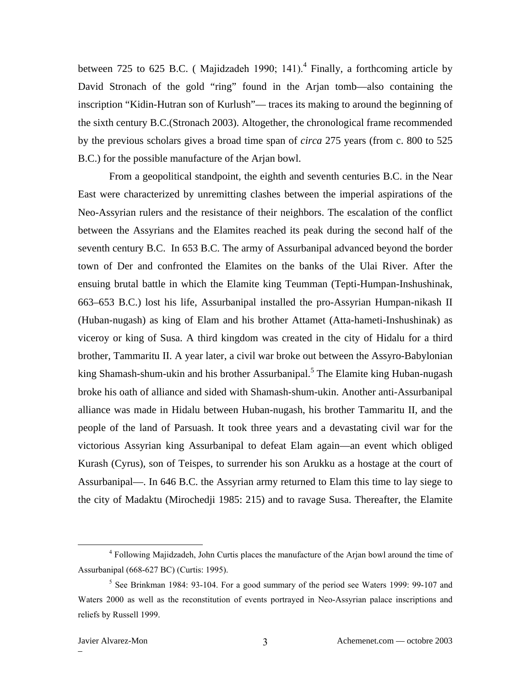between 725 to 625 B.C. (Majidzadeh 1990; 1[4](#page-2-0)1).<sup>4</sup> Finally, a forthcoming article by David Stronach of the gold "ring" found in the Arjan tomb—also containing the inscription "Kidin-Hutran son of Kurlush"— traces its making to around the beginning of the sixth century B.C.(Stronach 2003). Altogether, the chronological frame recommended by the previous scholars gives a broad time span of *circa* 275 years (from c. 800 to 525 B.C.) for the possible manufacture of the Arjan bowl.

From a geopolitical standpoint, the eighth and seventh centuries B.C. in the Near East were characterized by unremitting clashes between the imperial aspirations of the Neo-Assyrian rulers and the resistance of their neighbors. The escalation of the conflict between the Assyrians and the Elamites reached its peak during the second half of the seventh century B.C. In 653 B.C. The army of Assurbanipal advanced beyond the border town of Der and confronted the Elamites on the banks of the Ulai River. After the ensuing brutal battle in which the Elamite king Teumman (Tepti-Humpan-Inshushinak, 663–653 B.C.) lost his life, Assurbanipal installed the pro-Assyrian Humpan-nikash II (Huban-nugash) as king of Elam and his brother Attamet (Atta-hameti-Inshushinak) as viceroy or king of Susa. A third kingdom was created in the city of Hidalu for a third brother, Tammaritu II. A year later, a civil war broke out between the Assyro-Babylonian king Shamash-shum-ukin and his brother Assurbanipal.<sup>[5](#page-2-1)</sup> The Elamite king Huban-nugash broke his oath of alliance and sided with Shamash-shum-ukin. Another anti-Assurbanipal alliance was made in Hidalu between Huban-nugash, his brother Tammaritu II, and the people of the land of Parsuash. It took three years and a devastating civil war for the victorious Assyrian king Assurbanipal to defeat Elam again—an event which obliged Kurash (Cyrus), son of Teispes, to surrender his son Arukku as a hostage at the court of Assurbanipal—. In 646 B.C. the Assyrian army returned to Elam this time to lay siege to the city of Madaktu (Mirochedji 1985: 215) and to ravage Susa. Thereafter, the Elamite

<span id="page-2-0"></span> $\frac{1}{4}$  Following Majidzadeh, John Curtis places the manufacture of the Arjan bowl around the time of Assurbanipal (668-627 BC) (Curtis: 1995).

<span id="page-2-1"></span><sup>&</sup>lt;sup>5</sup> See Brinkman 1984: 93-104. For a good summary of the period see Waters 1999: 99-107 and Waters 2000 as well as the reconstitution of events portrayed in Neo-Assyrian palace inscriptions and reliefs by Russell 1999.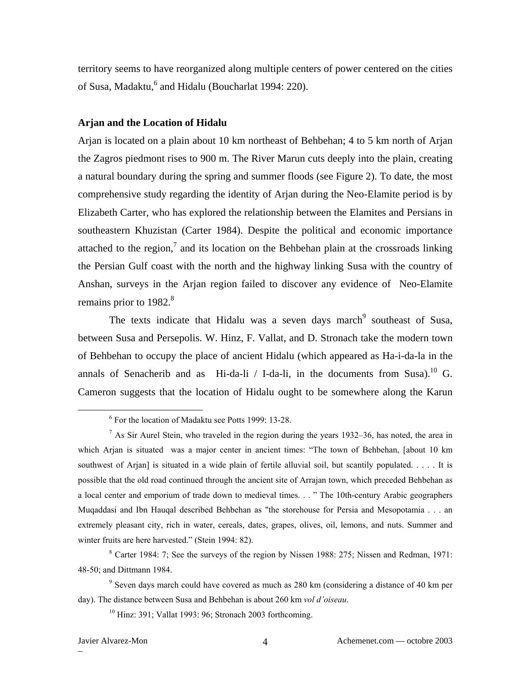territory seems to have reorganized along multiple centers of power centered on the cities of Susa, Madaktu, <sup>[6](#page-3-0)</sup> and Hidalu (Boucharlat 1994: 220).

## **Arjan and the Location of Hidalu**

Arjan is located on a plain about 10 km northeast of Behbehan; 4 to 5 km north of Arjan the Zagros piedmont rises to 900 m. The River Marun cuts deeply into the plain, creating a natural boundary during the spring and summer floods (see Figure 2). To date, the most comprehensive study regarding the identity of Arjan during the Neo-Elamite period is by Elizabeth Carter, who has explored the relationship between the Elamites and Persians in southeastern Khuzistan (Carter 1984). Despite the political and economic importance attached to the region, $^7$  $^7$  and its location on the Behbehan plain at the crossroads linking the Persian Gulf coast with the north and the highway linking Susa with the country of Anshan, surveys in the Arjan region failed to discover any evidence of Neo-Elamite remains prior to  $1982<sup>8</sup>$  $1982<sup>8</sup>$  $1982<sup>8</sup>$ 

The texts indicate that Hidalu was a seven days march<sup>9</sup> southeast of Susa, between Susa and Persepolis. W. Hinz, F. Vallat, and D. Stronach take the modern town of Behbehan to occupy the place of ancient Hidalu (which appeared as Ha-i-da-la in the annals of Senacherib and as Hi-da-li / I-da-li, in the documents from Susa).<sup>10</sup> G. Cameron suggests that the location of Hidalu ought to be somewhere along the Karun

<span id="page-3-0"></span> $\begin{array}{c|c}\n\hline\n\text{6}\n\end{array}$ <sup>6</sup> For the location of Madaktu see Potts 1999: 13-28.

<span id="page-3-1"></span> $<sup>7</sup>$  As Sir Aurel Stein, who traveled in the region during the years 1932–36, has noted, the area in</sup> which Arjan is situated was a major center in ancient times: "The town of Behbehan, [about 10 km southwest of Arjan] is situated in a wide plain of fertile alluvial soil, but scantily populated. . . . . It is possible that the old road continued through the ancient site of Arrajan town, which preceded Behbehan as a local center and emporium of trade down to medieval times. . . " The 10th-century Arabic geographers Muqaddasi and Ibn Hauqal described Behbehan as "the storehouse for Persia and Mesopotamia . . . an extremely pleasant city, rich in water, cereals, dates, grapes, olives, oil, lemons, and nuts. Summer and winter fruits are here harvested." (Stein 1994: 82).

<span id="page-3-2"></span> $8$  Carter 1984: 7; See the surveys of the region by Nissen 1988: 275; Nissen and Redman, 1971: 48-50; and Dittmann 1984.

 $9^9$  Seven days march could have covered as much as 280 km (considering a distance of 40 km per day). The distance between Susa and Behbehan is about 260 km *vol d'oiseau*.

<span id="page-3-4"></span><span id="page-3-3"></span><sup>10</sup> Hinz: 391; Vallat 1993: 96; Stronach 2003 forthcoming.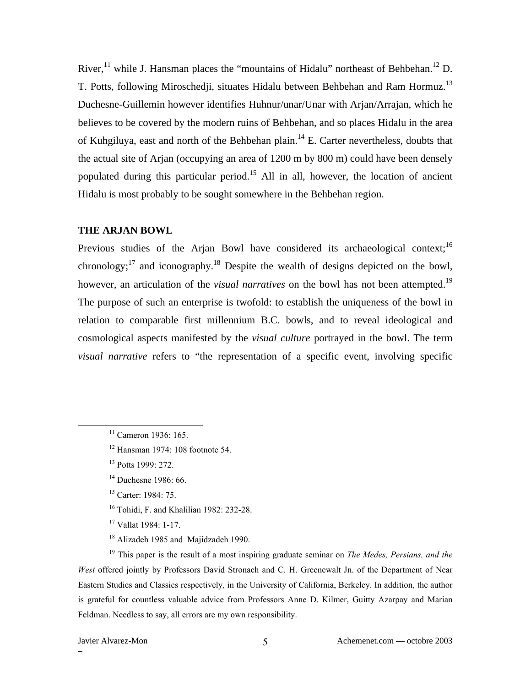River,  $^{11}$  while J. Hansman places the "mountains of Hidalu" northeast of Behbehan.<sup>12</sup> D. T. Potts, following Miroschedji, situates Hidalu between Behbehan and Ram Hormuz.<sup>13</sup> Duchesne-Guillemin however identifies Huhnur/unar/Unar with Arjan/Arrajan, which he believes to be covered by the modern ruins of Behbehan, and so places Hidalu in the area of Kuhgiluya, east and north of the Behbehan plain.<sup>14</sup> E. Carter nevertheless, doubts that the actual site of Arjan (occupying an area of 1200 m by 800 m) could have been densely populated during this particular period.<sup>15</sup> All in all, however, the location of ancient Hidalu is most probably to be sought somewhere in the Behbehan region.

## **THE ARJAN BOWL**

Previous studies of the Arjan Bowl have considered its archaeological context;  $16$ chronology; $^{17}$  and iconography.<sup>18</sup> Despite the wealth of designs depicted on the bowl, however, an articulation of the *visual narratives* on the bowl has not been attempted.<sup>[19](#page-4-8)</sup> The purpose of such an enterprise is twofold: to establish the uniqueness of the bowl in relation to comparable first millennium B.C. bowls, and to reveal ideological and cosmological aspects manifested by the *visual culture* portrayed in the bowl. The term *visual narrative* refers to "the representation of a specific event, involving specific

<sup>19</sup> This paper is the result of a most inspiring graduate seminar on *The Medes, Persians, and the West* offered jointly by Professors David Stronach and C. H. Greenewalt Jn. of the Department of Near Eastern Studies and Classics respectively, in the University of California, Berkeley. In addition, the author is grateful for countless valuable advice from Professors Anne D. Kilmer, Guitty Azarpay and Marian Feldman. Needless to say, all errors are my own responsibility.

<span id="page-4-0"></span> $11$  Cameron 1936: 165.

<span id="page-4-1"></span><sup>12</sup> Hansman 1974: 108 footnote 54.

<span id="page-4-2"></span><sup>&</sup>lt;sup>13</sup> Potts 1999: 272.

<span id="page-4-3"></span><sup>&</sup>lt;sup>14</sup> Duchesne 1986: 66.

<span id="page-4-4"></span><sup>15</sup> Carter: 1984: 75.

<span id="page-4-5"></span><sup>16</sup> Tohidi, F. and Khalilian 1982: 232-28.

<span id="page-4-6"></span><sup>17</sup> Vallat 1984: 1-17.

<span id="page-4-8"></span><span id="page-4-7"></span><sup>&</sup>lt;sup>18</sup> Alizadeh 1985 and Majidzadeh 1990.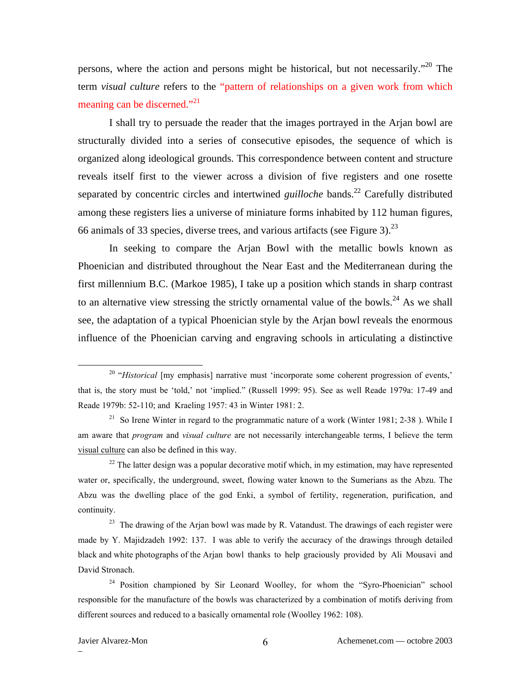persons, where the action and persons might be historical, but not necessarily."<sup>20</sup> The term *visual culture* refers to the "pattern of relationships on a given work from which meaning can be discerned."<sup>21</sup>

I shall try to persuade the reader that the images portrayed in the Arjan bowl are structurally divided into a series of consecutive episodes, the sequence of which is organized along ideological grounds. This correspondence between content and structure reveals itself first to the viewer across a division of five registers and one rosette separated by concentric circles and intertwined *guilloche* bands.<sup>22</sup> Carefully distributed among these registers lies a universe of miniature forms inhabited by 112 human figures, 66 animals of 33 species, diverse trees, and various artifacts (see Figure 3).<sup>23</sup>

In seeking to compare the Arjan Bowl with the metallic bowls known as Phoenician and distributed throughout the Near East and the Mediterranean during the first millennium B.C. (Markoe 1985), I take up a position which stands in sharp contrast to an alternative view stressing the strictly ornamental value of the bowls.<sup>24</sup> As we shall see, the adaptation of a typical Phoenician style by the Arjan bowl reveals the enormous influence of the Phoenician carving and engraving schools in articulating a distinctive

<span id="page-5-0"></span><sup>&</sup>lt;sup>20</sup> "*Historical* [my emphasis] narrative must 'incorporate some coherent progression of events,' that is, the story must be 'told,' not 'implied." (Russell 1999: 95). See as well Reade 1979a: 17-49 and Reade 1979b: 52-110; and Kraeling 1957: 43 in Winter 1981: 2.

<span id="page-5-1"></span><sup>&</sup>lt;sup>21</sup> So Irene Winter in regard to the programmatic nature of a work (Winter 1981; 2-38). While I am aware that *program* and *visual culture* are not necessarily interchangeable terms, I believe the term visual culture can also be defined in this way.

<span id="page-5-2"></span> $22$  The latter design was a popular decorative motif which, in my estimation, may have represented water or, specifically, the underground, sweet, flowing water known to the Sumerians as the Abzu. The Abzu was the dwelling place of the god Enki, a symbol of fertility, regeneration, purification, and continuity.

<span id="page-5-3"></span> $23$  The drawing of the Arjan bowl was made by R. Vatandust. The drawings of each register were made by Y. Majidzadeh 1992: 137. I was able to verify the accuracy of the drawings through detailed black and white photographs of the Arjan bowl thanks to help graciously provided by Ali Mousavi and David Stronach.

<span id="page-5-4"></span><sup>&</sup>lt;sup>24</sup> Position championed by Sir Leonard Woolley, for whom the "Syro-Phoenician" school responsible for the manufacture of the bowls was characterized by a combination of motifs deriving from different sources and reduced to a basically ornamental role (Woolley 1962: 108).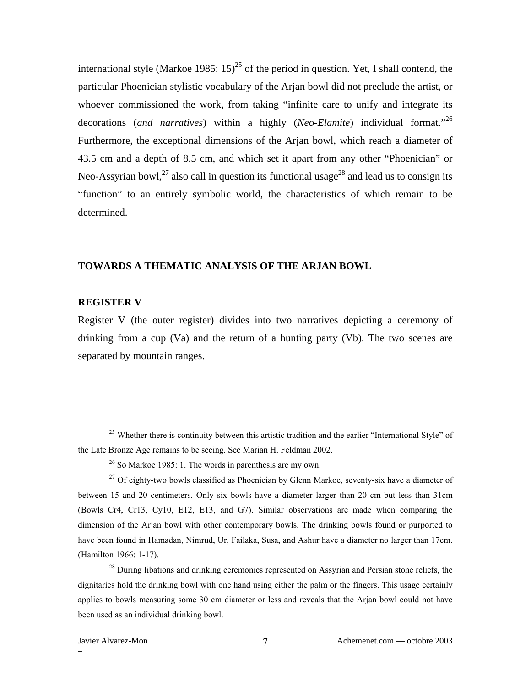international style (Markoe 1985:  $15^{25}$  of the period in question. Yet, I shall contend, the particular Phoenician stylistic vocabulary of the Arjan bowl did not preclude the artist, or whoever commissioned the work, from taking "infinite care to unify and integrate its decorations (*and narratives*) within a highly (*Neo-Elamite*) individual format."[26](#page-6-1) Furthermore, the exceptional dimensions of the Arjan bowl, which reach a diameter of 43.5 cm and a depth of 8.5 cm, and which set it apart from any other "Phoenician" or Neo-Assyrian bowl,<sup>27</sup> also call in question its functional usage<sup>28</sup> and lead us to consign its "function" to an entirely symbolic world, the characteristics of which remain to be determined.

## **TOWARDS A THEMATIC ANALYSIS OF THE ARJAN BOWL**

## **REGISTER V**

Register V (the outer register) divides into two narratives depicting a ceremony of drinking from a cup  $(Va)$  and the return of a hunting party  $(Vb)$ . The two scenes are separated by mountain ranges.

<sup>&</sup>lt;sup>25</sup> Whether there is continuity between this artistic tradition and the earlier "International Style" of the Late Bronze Age remains to be seeing. See Marian H. Feldman 2002.

<span id="page-6-2"></span><span id="page-6-1"></span><span id="page-6-0"></span><sup>&</sup>lt;sup>26</sup> So Markoe 1985: 1. The words in parenthesis are my own.

 $27$  Of eighty-two bowls classified as Phoenician by Glenn Markoe, seventy-six have a diameter of between 15 and 20 centimeters. Only six bowls have a diameter larger than 20 cm but less than 31cm (Bowls Cr4, Cr13, Cy10, E12, E13, and G7). Similar observations are made when comparing the dimension of the Arjan bowl with other contemporary bowls. The drinking bowls found or purported to have been found in Hamadan, Nimrud, Ur, Failaka, Susa, and Ashur have a diameter no larger than 17cm. (Hamilton 1966: 1-17).

<span id="page-6-3"></span><sup>&</sup>lt;sup>28</sup> During libations and drinking ceremonies represented on Assyrian and Persian stone reliefs, the dignitaries hold the drinking bowl with one hand using either the palm or the fingers. This usage certainly applies to bowls measuring some 30 cm diameter or less and reveals that the Arjan bowl could not have been used as an individual drinking bowl.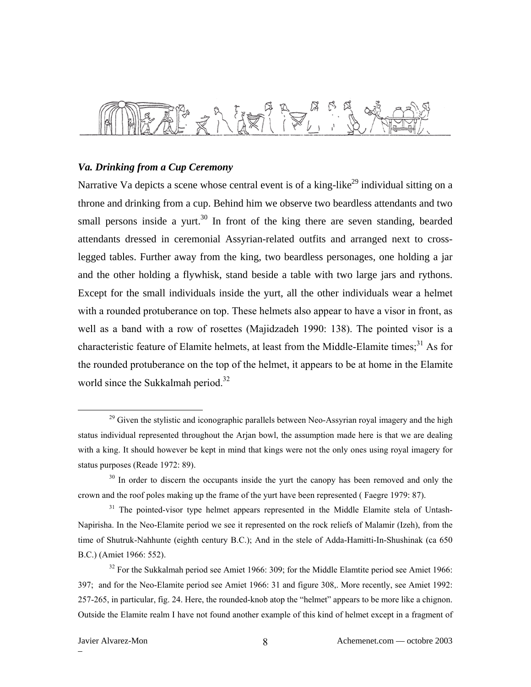<span id="page-7-3"></span>

## *Va. Drinking from a Cup Ceremony*

Narrative Va depicts a scene whose central event is of a king-like<sup>29</sup> individual sitting on a throne and drinking from a cup. Behind him we observe two beardless attendants and two small persons inside a yurt.<sup>30</sup> In front of the king there are seven standing, bearded attendants dressed in ceremonial Assyrian-related outfits and arranged next to crosslegged tables. Further away from the king, two beardless personages, one holding a jar and the other holding a flywhisk, stand beside a table with two large jars and rythons. Except for the small individuals inside the yurt, all the other individuals wear a helmet with a rounded protuberance on top. These helmets also appear to have a visor in front, as well as a band with a row of rosettes (Majidzadeh 1990: 138). The pointed visor is a characteristic feature of Elamite helmets, at least from the Middle-Elamite times:<sup>31</sup> As for the rounded protuberance on the top of the helmet, it appears to be at home in the Elamite world since the Sukkalmah period.<sup>32</sup>

<span id="page-7-0"></span> $29$  Given the stylistic and iconographic parallels between Neo-Assyrian royal imagery and the high status individual represented throughout the Arjan bowl, the assumption made here is that we are dealing with a king. It should however be kept in mind that kings were not the only ones using royal imagery for status purposes (Reade 1972: 89).

<span id="page-7-1"></span><sup>&</sup>lt;sup>30</sup> In order to discern the occupants inside the yurt the canopy has been removed and only the crown and the roof poles making up the frame of the yurt have been represented ( Faegre 1979: 87).

<span id="page-7-2"></span><sup>&</sup>lt;sup>31</sup> The pointed-visor type helmet appears represented in the Middle Elamite stela of Untash-Napirisha. In the Neo-Elamite period we see it represented on the rock reliefs of Malamir (Izeh), from the time of Shutruk-Nahhunte (eighth century B.C.); And in the stele of Adda-Hamitti-In-Shushinak (ca 650 B.C.) (Amiet 1966: 552).

 $32$  For the Sukkalmah period see Amiet 1966: 309; for the Middle Elamtite period see Amiet 1966: 397; and for the Neo-Elamite period see Amiet 1966: 31 and figure 308,. More recently, see Amiet 1992: 257-265, in particular, fig. 24. Here, the rounded-knob atop the "helmet" appears to be more like a chignon. Outside the Elamite realm I have not found another example of this kind of helmet except in a fragment of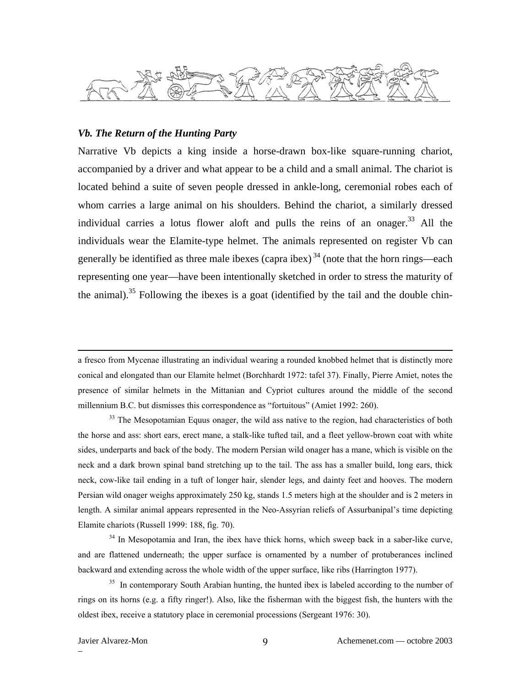

## *Vb. The Return of the Hunting Party*

Narrative Vb depicts a king inside a horse-drawn box-like square-running chariot, accompanied by a driver and what appear to be a child and a small animal. The chariot is located behind a suite of seven people dressed in ankle-long, ceremonial robes each of whom carries a large animal on his shoulders. Behind the chariot, a similarly dressed individual carries a lotus flower aloft and pulls the reins of an onager.<sup>33</sup> All the individuals wear the Elamite-type helmet. The animals represented on register Vb can generally be identified as three male ibexes (capra ibex)<sup>34</sup> (note that the horn rings—each representing one year—have been intentionally sketched in order to stress the maturity of the animal).<sup>35</sup> Following the ibexes is a goat (identified by the tail and the double chin-

 a fresco from Mycenae illustrating an individual wearing a rounded knobbed helmet that is distinctly more conical and elongated than our Elamite helmet (Borchhardt 1972: tafel 37). Finally, Pierre Amiet, notes the presence of similar helmets in the Mittanian and Cypriot cultures around the middle of the second millennium B.C. but dismisses this correspondence as "fortuitous" (Amiet 1992: 260).

<span id="page-8-0"></span><sup>33</sup> The Mesopotamian Equus onager, the wild ass native to the region, had characteristics of both the horse and ass: short ears, erect mane, a stalk-like tufted tail, and a fleet yellow-brown coat with white sides, underparts and back of the body. The modern Persian wild onager has a mane, which is visible on the neck and a dark brown spinal band stretching up to the tail. The ass has a smaller build, long ears, thick neck, cow-like tail ending in a tuft of longer hair, slender legs, and dainty feet and hooves. The modern Persian wild onager weighs approximately 250 kg, stands 1.5 meters high at the shoulder and is 2 meters in length. A similar animal appears represented in the Neo-Assyrian reliefs of Assurbanipal's time depicting Elamite chariots (Russell 1999: 188, fig. 70).

<span id="page-8-1"></span> $34$  In Mesopotamia and Iran, the ibex have thick horns, which sweep back in a saber-like curve, and are flattened underneath; the upper surface is ornamented by a number of protuberances inclined backward and extending across the whole width of the upper surface, like ribs (Harrington 1977).

<span id="page-8-2"></span> $35$  In contemporary South Arabian hunting, the hunted ibex is labeled according to the number of rings on its horns (e.g. a fifty ringer!). Also, like the fisherman with the biggest fish, the hunters with the oldest ibex, receive a statutory place in ceremonial processions (Sergeant 1976: 30).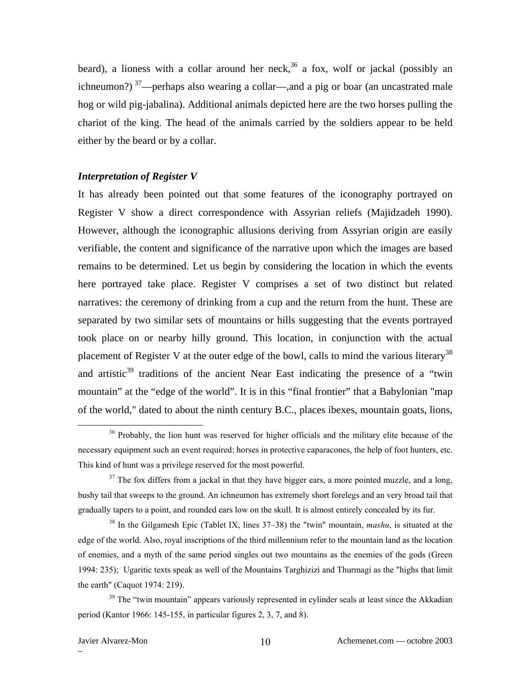beard), a lioness with a collar around her neck,<sup>36</sup> a fox, wolf or jackal (possibly an ichneumon?)  $37$ —perhaps also wearing a collar—, and a pig or boar (an uncastrated male hog or wild pig-jabalina). Additional animals depicted here are the two horses pulling the chariot of the king. The head of the animals carried by the soldiers appear to be held either by the beard or by a collar.

## *Interpretation of Register V*

It has already been pointed out that some features of the iconography portrayed on Register V show a direct correspondence with Assyrian reliefs (Majidzadeh 1990). However, although the iconographic allusions deriving from Assyrian origin are easily verifiable, the content and significance of the narrative upon which the images are based remains to be determined. Let us begin by considering the location in which the events here portrayed take place. Register V comprises a set of two distinct but related narratives: the ceremony of drinking from a cup and the return from the hunt. These are separated by two similar sets of mountains or hills suggesting that the events portrayed took place on or nearby hilly ground. This location, in conjunction with the actual placement of Register V at the outer edge of the bowl, calls to mind the various literary<sup>[38](#page-9-2)</sup> and artistic<sup>39</sup> traditions of the ancient Near East indicating the presence of a "twin mountain" at the "edge of the world". It is in this "final frontier" that a Babylonian "map of the world," dated to about the ninth century B.C., places ibexes, mountain goats, lions,

<span id="page-9-0"></span><sup>&</sup>lt;sup>36</sup> Probably, the lion hunt was reserved for higher officials and the military elite because of the necessary equipment such an event required: horses in protective caparacones, the help of foot hunters, etc. This kind of hunt was a privilege reserved for the most powerful.

<span id="page-9-1"></span> $37$  The fox differs from a jackal in that they have bigger ears, a more pointed muzzle, and a long, bushy tail that sweeps to the ground. An ichneumon has extremely short forelegs and an very broad tail that gradually tapers to a point, and rounded ears low on the skull. It is almost entirely concealed by its fur.

<span id="page-9-2"></span><sup>38</sup> In the Gilgamesh Epic (Tablet IX, lines 37–38) the "twin" mountain, *mashu*, is situated at the edge of the world. Also, royal inscriptions of the third millennium refer to the mountain land as the location of enemies, and a myth of the same period singles out two mountains as the enemies of the gods (Green 1994: 235); Ugaritic texts speak as well of the Mountains Targhizizi and Thurmagi as the "highs that limit the earth" (Caquot 1974: 219).

<span id="page-9-3"></span><sup>&</sup>lt;sup>39</sup> The "twin mountain" appears variously represented in cylinder seals at least since the Akkadian period (Kantor 1966: 145-155, in particular figures 2, 3, 7, and 8).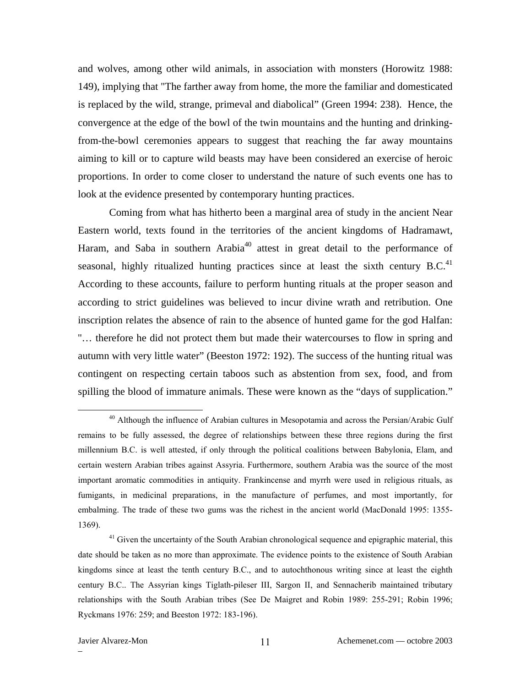and wolves, among other wild animals, in association with monsters (Horowitz 1988: 149), implying that "The farther away from home, the more the familiar and domesticated is replaced by the wild, strange, primeval and diabolical" (Green 1994: 238). Hence, the convergence at the edge of the bowl of the twin mountains and the hunting and drinkingfrom-the-bowl ceremonies appears to suggest that reaching the far away mountains aiming to kill or to capture wild beasts may have been considered an exercise of heroic proportions. In order to come closer to understand the nature of such events one has to look at the evidence presented by contemporary hunting practices.

Coming from what has hitherto been a marginal area of study in the ancient Near Eastern world, texts found in the territories of the ancient kingdoms of Hadramawt, Haram, and Saba in southern Arabia<sup>40</sup> attest in great detail to the performance of seasonal, highly ritualized hunting practices since at least the sixth century  $B.C.<sup>41</sup>$  $B.C.<sup>41</sup>$  $B.C.<sup>41</sup>$ According to these accounts, failure to perform hunting rituals at the proper season and according to strict guidelines was believed to incur divine wrath and retribution. One inscription relates the absence of rain to the absence of hunted game for the god Halfan: ''… therefore he did not protect them but made their watercourses to flow in spring and autumn with very little water" (Beeston 1972: 192). The success of the hunting ritual was contingent on respecting certain taboos such as abstention from sex, food, and from spilling the blood of immature animals. These were known as the "days of supplication."

<span id="page-10-0"></span> $40$  Although the influence of Arabian cultures in Mesopotamia and across the Persian/Arabic Gulf remains to be fully assessed, the degree of relationships between these three regions during the first millennium B.C. is well attested, if only through the political coalitions between Babylonia, Elam, and certain western Arabian tribes against Assyria. Furthermore, southern Arabia was the source of the most important aromatic commodities in antiquity. Frankincense and myrrh were used in religious rituals, as fumigants, in medicinal preparations, in the manufacture of perfumes, and most importantly, for embalming. The trade of these two gums was the richest in the ancient world (MacDonald 1995: 1355- 1369).

<span id="page-10-1"></span> $41$  Given the uncertainty of the South Arabian chronological sequence and epigraphic material, this date should be taken as no more than approximate. The evidence points to the existence of South Arabian kingdoms since at least the tenth century B.C., and to autochthonous writing since at least the eighth century B.C.. The Assyrian kings Tiglath-pileser III, Sargon II, and Sennacherib maintained tributary relationships with the South Arabian tribes (See De Maigret and Robin 1989: 255-291; Robin 1996; Ryckmans 1976: 259; and Beeston 1972: 183-196).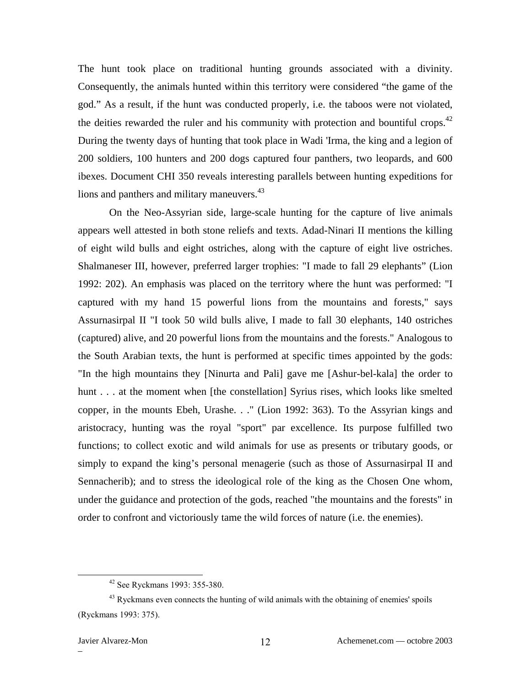The hunt took place on traditional hunting grounds associated with a divinity. Consequently, the animals hunted within this territory were considered "the game of the god." As a result, if the hunt was conducted properly, i.e. the taboos were not violated, the deities rewarded the ruler and his community with protection and bountiful crops.<sup>42</sup> During the twenty days of hunting that took place in Wadi 'Irma, the king and a legion of 200 soldiers, 100 hunters and 200 dogs captured four panthers, two leopards, and 600 ibexes. Document CHI 350 reveals interesting parallels between hunting expeditions for lions and panthers and military maneuvers.<sup>43</sup>

On the Neo-Assyrian side, large-scale hunting for the capture of live animals appears well attested in both stone reliefs and texts. Adad-Ninari II mentions the killing of eight wild bulls and eight ostriches, along with the capture of eight live ostriches. Shalmaneser III, however, preferred larger trophies: "I made to fall 29 elephants" (Lion 1992: 202). An emphasis was placed on the territory where the hunt was performed: "I captured with my hand 15 powerful lions from the mountains and forests," says Assurnasirpal II "I took 50 wild bulls alive, I made to fall 30 elephants, 140 ostriches (captured) alive, and 20 powerful lions from the mountains and the forests." Analogous to the South Arabian texts, the hunt is performed at specific times appointed by the gods: "In the high mountains they [Ninurta and Pali] gave me [Ashur-bel-kala] the order to hunt . . . at the moment when [the constellation] Syrius rises, which looks like smelted copper, in the mounts Ebeh, Urashe. . ." (Lion 1992: 363). To the Assyrian kings and aristocracy, hunting was the royal "sport" par excellence. Its purpose fulfilled two functions; to collect exotic and wild animals for use as presents or tributary goods, or simply to expand the king's personal menagerie (such as those of Assurnasirpal II and Sennacherib); and to stress the ideological role of the king as the Chosen One whom, under the guidance and protection of the gods, reached "the mountains and the forests" in order to confront and victoriously tame the wild forces of nature (i.e. the enemies).

<span id="page-11-1"></span><span id="page-11-0"></span> <sup>42</sup> See Ryckmans 1993: 355-380.

 $43$  Ryckmans even connects the hunting of wild animals with the obtaining of enemies' spoils (Ryckmans 1993: 375).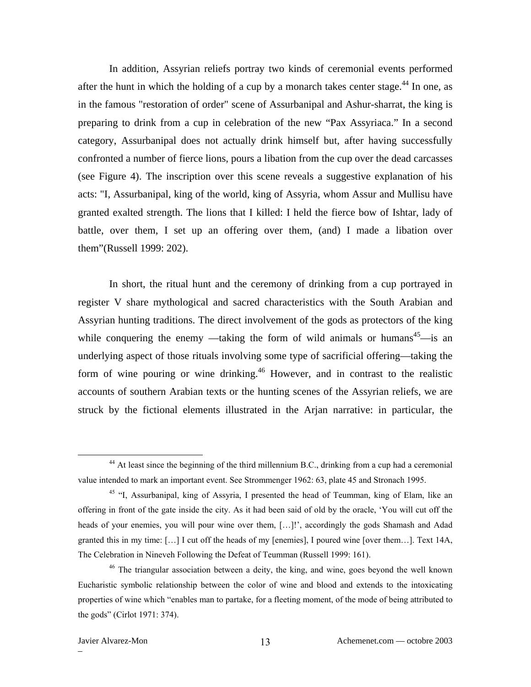In addition, Assyrian reliefs portray two kinds of ceremonial events performed after the hunt in which the holding of a cup by a monarch takes center stage.<sup>44</sup> In one, as in the famous "restoration of order" scene of Assurbanipal and Ashur-sharrat, the king is preparing to drink from a cup in celebration of the new "Pax Assyriaca." In a second category, Assurbanipal does not actually drink himself but, after having successfully confronted a number of fierce lions, pours a libation from the cup over the dead carcasses (see Figure 4). The inscription over this scene reveals a suggestive explanation of his acts: "I, Assurbanipal, king of the world, king of Assyria, whom Assur and Mullisu have granted exalted strength. The lions that I killed: I held the fierce bow of Ishtar, lady of battle, over them, I set up an offering over them, (and) I made a libation over them"(Russell 1999: 202).

In short, the ritual hunt and the ceremony of drinking from a cup portrayed in register V share mythological and sacred characteristics with the South Arabian and Assyrian hunting traditions. The direct involvement of the gods as protectors of the king while conquering the enemy —taking the form of wild animals or humans<sup>45</sup>—is an underlying aspect of those rituals involving some type of sacrificial offering—taking the form of wine pouring or wine drinking.<sup>46</sup> However, and in contrast to the realistic accounts of southern Arabian texts or the hunting scenes of the Assyrian reliefs, we are struck by the fictional elements illustrated in the Arjan narrative: in particular, the

<span id="page-12-0"></span><sup>&</sup>lt;sup>44</sup> At least since the beginning of the third millennium B.C., drinking from a cup had a ceremonial value intended to mark an important event. See Strommenger 1962: 63, plate 45 and Stronach 1995.

<span id="page-12-1"></span><sup>&</sup>lt;sup>45</sup> "I, Assurbanipal, king of Assyria, I presented the head of Teumman, king of Elam, like an offering in front of the gate inside the city. As it had been said of old by the oracle, 'You will cut off the heads of your enemies, you will pour wine over them, [...]!', accordingly the gods Shamash and Adad granted this in my time: […] I cut off the heads of my [enemies], I poured wine [over them…]. Text 14A, The Celebration in Nineveh Following the Defeat of Teumman (Russell 1999: 161).

<span id="page-12-2"></span><sup>&</sup>lt;sup>46</sup> The triangular association between a deity, the king, and wine, goes beyond the well known Eucharistic symbolic relationship between the color of wine and blood and extends to the intoxicating properties of wine which "enables man to partake, for a fleeting moment, of the mode of being attributed to the gods" (Cirlot 1971: 374).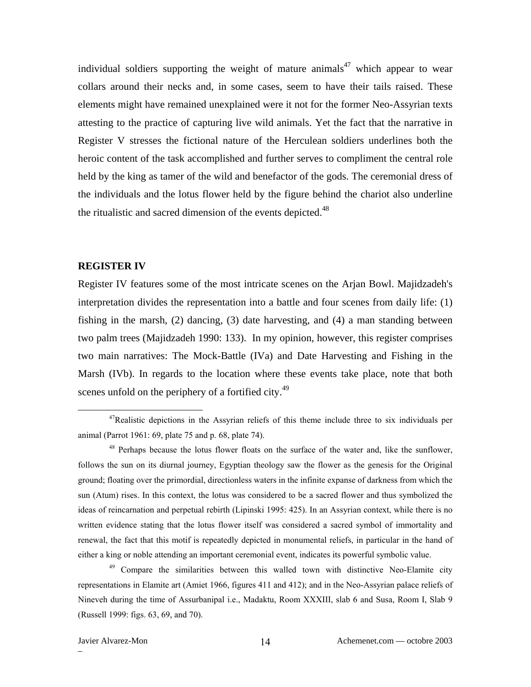individual soldiers supporting the weight of mature animals<sup>47</sup> which appear to wear collars around their necks and, in some cases, seem to have their tails raised. These elements might have remained unexplained were it not for the former Neo-Assyrian texts attesting to the practice of capturing live wild animals. Yet the fact that the narrative in Register V stresses the fictional nature of the Herculean soldiers underlines both the heroic content of the task accomplished and further serves to compliment the central role held by the king as tamer of the wild and benefactor of the gods. The ceremonial dress of the individuals and the lotus flower held by the figure behind the chariot also underline the ritualistic and sacred dimension of the events depicted. $48$ 

#### **REGISTER IV**

Register IV features some of the most intricate scenes on the Arjan Bowl. Majidzadeh's interpretation divides the representation into a battle and four scenes from daily life: (1) fishing in the marsh, (2) dancing, (3) date harvesting, and (4) a man standing between two palm trees (Majidzadeh 1990: 133). In my opinion, however, this register comprises two main narratives: The Mock-Battle (IVa) and Date Harvesting and Fishing in the Marsh (IVb). In regards to the location where these events take place, note that both scenes unfold on the periphery of a fortified city.<sup>[49](#page-13-2)</sup>

<span id="page-13-2"></span> $49$  Compare the similarities between this walled town with distinctive Neo-Elamite city representations in Elamite art (Amiet 1966, figures 411 and 412); and in the Neo-Assyrian palace reliefs of Nineveh during the time of Assurbanipal i.e., Madaktu, Room XXXIII, slab 6 and Susa, Room I, Slab 9 (Russell 1999: figs. 63, 69, and 70).

<span id="page-13-0"></span> $47$ Realistic depictions in the Assyrian reliefs of this theme include three to six individuals per animal (Parrot 1961: 69, plate 75 and p. 68, plate 74).

<span id="page-13-1"></span><sup>&</sup>lt;sup>48</sup> Perhaps because the lotus flower floats on the surface of the water and, like the sunflower, follows the sun on its diurnal journey, Egyptian theology saw the flower as the genesis for the Original ground; floating over the primordial, directionless waters in the infinite expanse of darkness from which the sun (Atum) rises. In this context, the lotus was considered to be a sacred flower and thus symbolized the ideas of reincarnation and perpetual rebirth (Lipinski 1995: 425). In an Assyrian context, while there is no written evidence stating that the lotus flower itself was considered a sacred symbol of immortality and renewal, the fact that this motif is repeatedly depicted in monumental reliefs, in particular in the hand of either a king or noble attending an important ceremonial event, indicates its powerful symbolic value.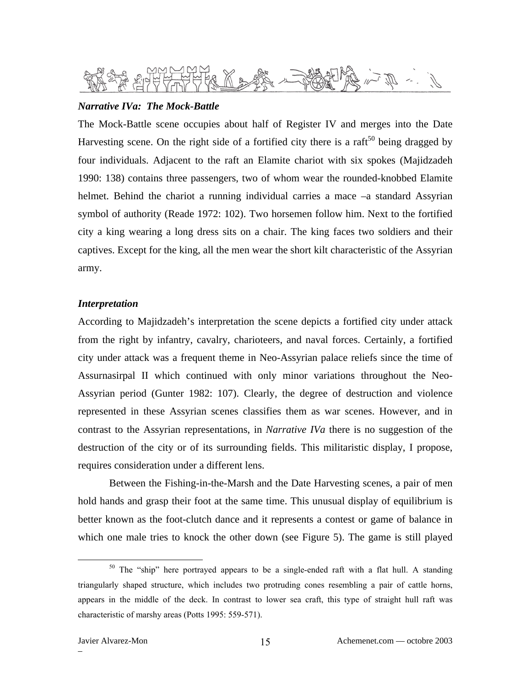

## *Narrative IVa: The Mock-Battle*

The Mock-Battle scene occupies about half of Register IV and merges into the Date Harvesting scene. On the right side of a fortified city there is a raft<sup>50</sup> being dragged by four individuals. Adjacent to the raft an Elamite chariot with six spokes (Majidzadeh 1990: 138) contains three passengers, two of whom wear the rounded-knobbed Elamite helmet. Behind the chariot a running individual carries a mace –a standard Assyrian symbol of authority (Reade 1972: 102). Two horsemen follow him. Next to the fortified city a king wearing a long dress sits on a chair. The king faces two soldiers and their captives. Except for the king, all the men wear the short kilt characteristic of the Assyrian army.

## *Interpretation*

According to Majidzadeh's interpretation the scene depicts a fortified city under attack from the right by infantry, cavalry, charioteers, and naval forces. Certainly, a fortified city under attack was a frequent theme in Neo-Assyrian palace reliefs since the time of Assurnasirpal II which continued with only minor variations throughout the Neo-Assyrian period (Gunter 1982: 107). Clearly, the degree of destruction and violence represented in these Assyrian scenes classifies them as war scenes. However, and in contrast to the Assyrian representations, in *Narrative IVa* there is no suggestion of the destruction of the city or of its surrounding fields. This militaristic display, I propose, requires consideration under a different lens.

Between the Fishing-in-the-Marsh and the Date Harvesting scenes, a pair of men hold hands and grasp their foot at the same time. This unusual display of equilibrium is better known as the foot-clutch dance and it represents a contest or game of balance in which one male tries to knock the other down (see Figure 5). The game is still played

<span id="page-14-0"></span> $50$  The "ship" here portrayed appears to be a single-ended raft with a flat hull. A standing triangularly shaped structure, which includes two protruding cones resembling a pair of cattle horns, appears in the middle of the deck. In contrast to lower sea craft, this type of straight hull raft was characteristic of marshy areas (Potts 1995: 559-571).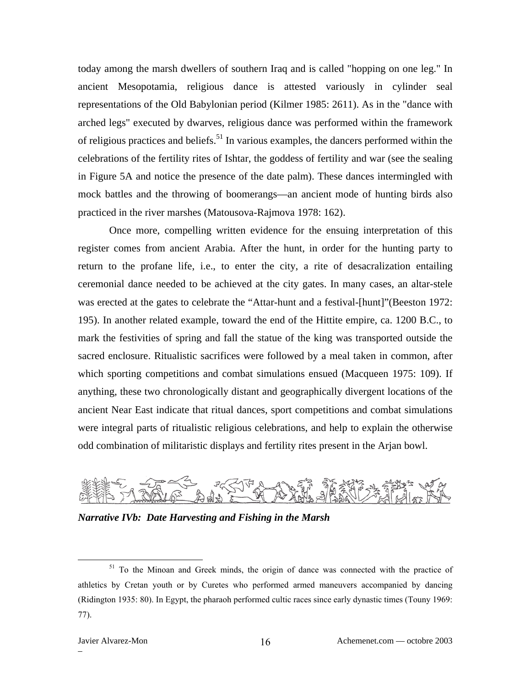today among the marsh dwellers of southern Iraq and is called "hopping on one leg." In ancient Mesopotamia, religious dance is attested variously in cylinder seal representations of the Old Babylonian period (Kilmer 1985: 2611). As in the "dance with arched legs" executed by dwarves, religious dance was performed within the framework of religious practices and beliefs.<sup>51</sup> In various examples, the dancers performed within the celebrations of the fertility rites of Ishtar, the goddess of fertility and war (see the sealing in Figure 5A and notice the presence of the date palm). These dances intermingled with mock battles and the throwing of boomerangs—an ancient mode of hunting birds also practiced in the river marshes (Matousova-Rajmova 1978: 162).

Once more, compelling written evidence for the ensuing interpretation of this register comes from ancient Arabia. After the hunt, in order for the hunting party to return to the profane life, i.e., to enter the city, a rite of desacralization entailing ceremonial dance needed to be achieved at the city gates. In many cases, an altar-stele was erected at the gates to celebrate the "Attar-hunt and a festival-[hunt]"(Beeston 1972: 195). In another related example, toward the end of the Hittite empire, ca. 1200 B.C., to mark the festivities of spring and fall the statue of the king was transported outside the sacred enclosure. Ritualistic sacrifices were followed by a meal taken in common, after which sporting competitions and combat simulations ensued (Macqueen 1975: 109). If anything, these two chronologically distant and geographically divergent locations of the ancient Near East indicate that ritual dances, sport competitions and combat simulations were integral parts of ritualistic religious celebrations, and help to explain the otherwise odd combination of militaristic displays and fertility rites present in the Arjan bowl.



*Narrative IVb: Date Harvesting and Fishing in the Marsh* 

<span id="page-15-0"></span><sup>&</sup>lt;sup>51</sup> To the Minoan and Greek minds, the origin of dance was connected with the practice of athletics by Cretan youth or by Curetes who performed armed maneuvers accompanied by dancing (Ridington 1935: 80). In Egypt, the pharaoh performed cultic races since early dynastic times (Touny 1969: 77).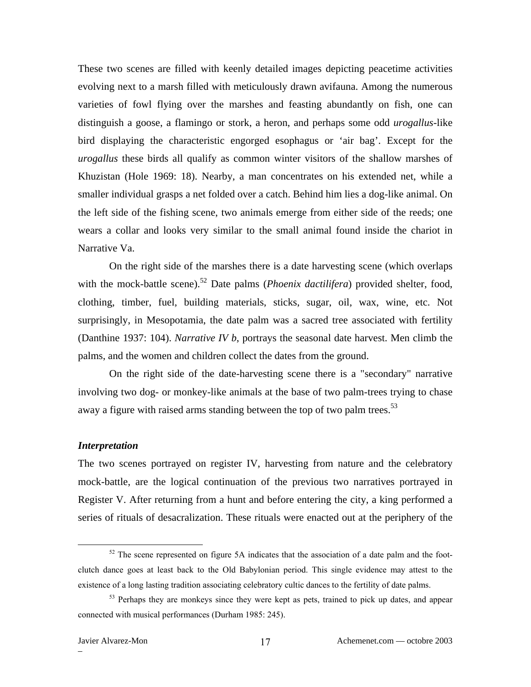These two scenes are filled with keenly detailed images depicting peacetime activities evolving next to a marsh filled with meticulously drawn avifauna. Among the numerous varieties of fowl flying over the marshes and feasting abundantly on fish, one can distinguish a goose, a flamingo or stork, a heron, and perhaps some odd *urogallus-*like bird displaying the characteristic engorged esophagus or 'air bag'. Except for the *urogallus* these birds all qualify as common winter visitors of the shallow marshes of Khuzistan (Hole 1969: 18). Nearby, a man concentrates on his extended net, while a smaller individual grasps a net folded over a catch. Behind him lies a dog-like animal. On the left side of the fishing scene, two animals emerge from either side of the reeds; one wears a collar and looks very similar to the small animal found inside the chariot in Narrative Va.

On the right side of the marshes there is a date harvesting scene (which overlaps with the mock-battle scene).<sup>52</sup> Date palms (*Phoenix dactilifera*) provided shelter, food, clothing, timber, fuel, building materials, sticks, sugar, oil, wax, wine, etc. Not surprisingly, in Mesopotamia, the date palm was a sacred tree associated with fertility (Danthine 1937: 104). *Narrative IV b*, portrays the seasonal date harvest. Men climb the palms, and the women and children collect the dates from the ground.

On the right side of the date-harvesting scene there is a "secondary" narrative involving two dog- or monkey-like animals at the base of two palm-trees trying to chase away a figure with raised arms standing between the top of two palm trees.<sup>53</sup>

## *Interpretation*

The two scenes portrayed on register IV, harvesting from nature and the celebratory mock-battle, are the logical continuation of the previous two narratives portrayed in Register V. After returning from a hunt and before entering the city, a king performed a series of rituals of desacralization. These rituals were enacted out at the periphery of the

<span id="page-16-0"></span> $52$  The scene represented on figure 5A indicates that the association of a date palm and the footclutch dance goes at least back to the Old Babylonian period. This single evidence may attest to the existence of a long lasting tradition associating celebratory cultic dances to the fertility of date palms.

<span id="page-16-1"></span><sup>&</sup>lt;sup>53</sup> Perhaps they are monkeys since they were kept as pets, trained to pick up dates, and appear connected with musical performances (Durham 1985: 245).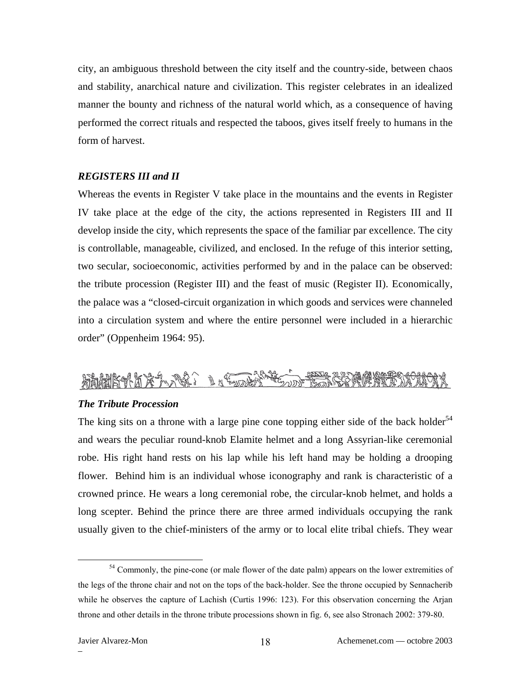city, an ambiguous threshold between the city itself and the country-side, between chaos and stability, anarchical nature and civilization. This register celebrates in an idealized manner the bounty and richness of the natural world which, as a consequence of having performed the correct rituals and respected the taboos, gives itself freely to humans in the form of harvest.

## *REGISTERS III and II*

Whereas the events in Register V take place in the mountains and the events in Register IV take place at the edge of the city, the actions represented in Registers III and II develop inside the city, which represents the space of the familiar par excellence. The city is controllable, manageable, civilized, and enclosed. In the refuge of this interior setting, two secular, socioeconomic, activities performed by and in the palace can be observed: the tribute procession (Register III) and the feast of music (Register II). Economically, the palace was a "closed-circuit organization in which goods and services were channeled into a circulation system and where the entire personnel were included in a hierarchic order" (Oppenheim 1964: 95).



## *The Tribute Procession*

The king sits on a throne with a large pine cone topping either side of the back holder<sup>[54](#page-17-0)</sup> and wears the peculiar round-knob Elamite helmet and a long Assyrian-like ceremonial robe. His right hand rests on his lap while his left hand may be holding a drooping flower. Behind him is an individual whose iconography and rank is characteristic of a crowned prince. He wears a long ceremonial robe, the circular-knob helmet, and holds a long scepter. Behind the prince there are three armed individuals occupying the rank usually given to the chief-ministers of the army or to local elite tribal chiefs. They wear

<span id="page-17-0"></span><sup>&</sup>lt;sup>54</sup> Commonly, the pine-cone (or male flower of the date palm) appears on the lower extremities of the legs of the throne chair and not on the tops of the back-holder. See the throne occupied by Sennacherib while he observes the capture of Lachish (Curtis 1996: 123). For this observation concerning the Arjan throne and other details in the throne tribute processions shown in fig. 6, see also Stronach 2002: 379-80.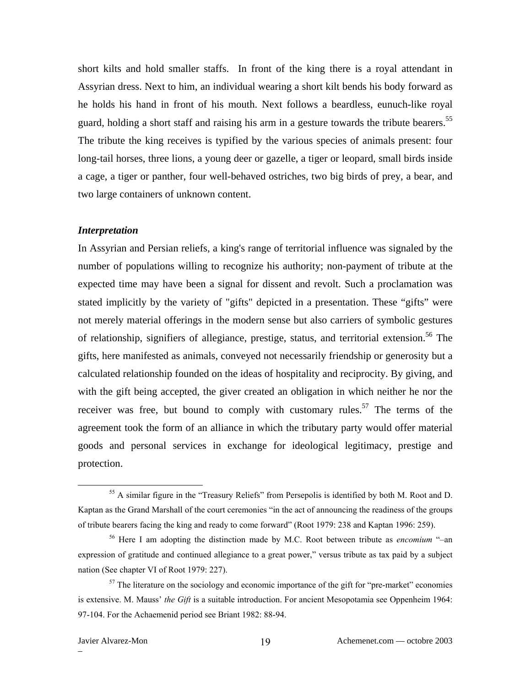short kilts and hold smaller staffs. In front of the king there is a royal attendant in Assyrian dress. Next to him, an individual wearing a short kilt bends his body forward as he holds his hand in front of his mouth. Next follows a beardless, eunuch-like royal guard, holding a short staff and raising his arm in a gesture towards the tribute bearers.<sup>[55](#page-18-0)</sup> The tribute the king receives is typified by the various species of animals present: four long-tail horses, three lions, a young deer or gazelle, a tiger or leopard, small birds inside a cage, a tiger or panther, four well-behaved ostriches, two big birds of prey, a bear, and two large containers of unknown content.

## *Interpretation*

In Assyrian and Persian reliefs, a king's range of territorial influence was signaled by the number of populations willing to recognize his authority; non-payment of tribute at the expected time may have been a signal for dissent and revolt. Such a proclamation was stated implicitly by the variety of "gifts" depicted in a presentation. These "gifts" were not merely material offerings in the modern sense but also carriers of symbolic gestures of relationship, signifiers of allegiance, prestige, status, and territorial extension.<sup>56</sup> The gifts, here manifested as animals, conveyed not necessarily friendship or generosity but a calculated relationship founded on the ideas of hospitality and reciprocity. By giving, and with the gift being accepted, the giver created an obligation in which neither he nor the receiver was free, but bound to comply with customary rules.<sup>57</sup> The terms of the agreement took the form of an alliance in which the tributary party would offer material goods and personal services in exchange for ideological legitimacy, prestige and protection.

<span id="page-18-0"></span><sup>&</sup>lt;sup>55</sup> A similar figure in the "Treasury Reliefs" from Persepolis is identified by both M. Root and D. Kaptan as the Grand Marshall of the court ceremonies "in the act of announcing the readiness of the groups of tribute bearers facing the king and ready to come forward" (Root 1979: 238 and Kaptan 1996: 259).

<span id="page-18-1"></span><sup>56</sup> Here I am adopting the distinction made by M.C. Root between tribute as *encomium* "–an expression of gratitude and continued allegiance to a great power," versus tribute as tax paid by a subject nation (See chapter VI of Root 1979: 227).

<span id="page-18-2"></span> $57$  The literature on the sociology and economic importance of the gift for "pre-market" economies is extensive. M. Mauss' *the Gift* is a suitable introduction. For ancient Mesopotamia see Oppenheim 1964: 97-104. For the Achaemenid period see Briant 1982: 88-94.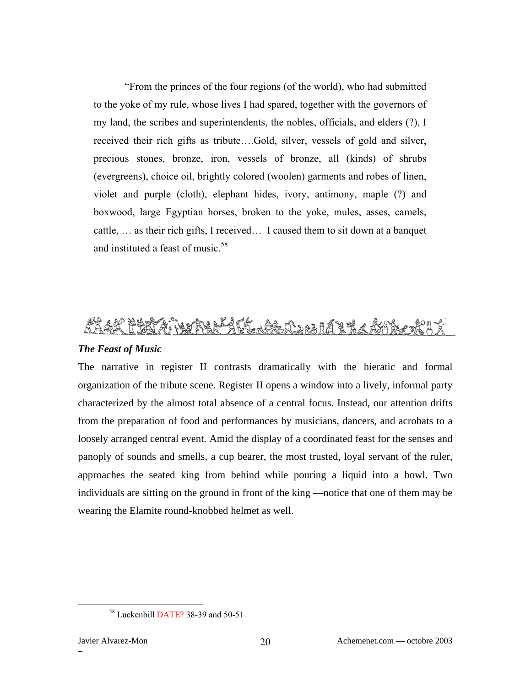"From the princes of the four regions (of the world), who had submitted to the yoke of my rule, whose lives I had spared, together with the governors of my land, the scribes and superintendents, the nobles, officials, and elders (?), I received their rich gifts as tribute….Gold, silver, vessels of gold and silver, precious stones, bronze, iron, vessels of bronze, all (kinds) of shrubs (evergreens), choice oil, brightly colored (woolen) garments and robes of linen, violet and purple (cloth), elephant hides, ivory, antimony, maple (?) and boxwood, large Egyptian horses, broken to the yoke, mules, asses, camels, cattle, … as their rich gifts, I received… I caused them to sit down at a banquet and instituted a feast of music.<sup>[58](#page-19-0)</sup>

# SRAK DIA ALWARAN ALKER 2031ARRAKAK 201

## *The Feast of Music*

The narrative in register II contrasts dramatically with the hieratic and formal organization of the tribute scene. Register II opens a window into a lively, informal party characterized by the almost total absence of a central focus. Instead, our attention drifts from the preparation of food and performances by musicians, dancers, and acrobats to a loosely arranged central event. Amid the display of a coordinated feast for the senses and panoply of sounds and smells, a cup bearer, the most trusted, loyal servant of the ruler, approaches the seated king from behind while pouring a liquid into a bowl. Two individuals are sitting on the ground in front of the king ––notice that one of them may be wearing the Elamite round-knobbed helmet as well.

<span id="page-19-0"></span><sup>&</sup>lt;sup>58</sup> Luckenbill DATE? 38-39 and 50-51.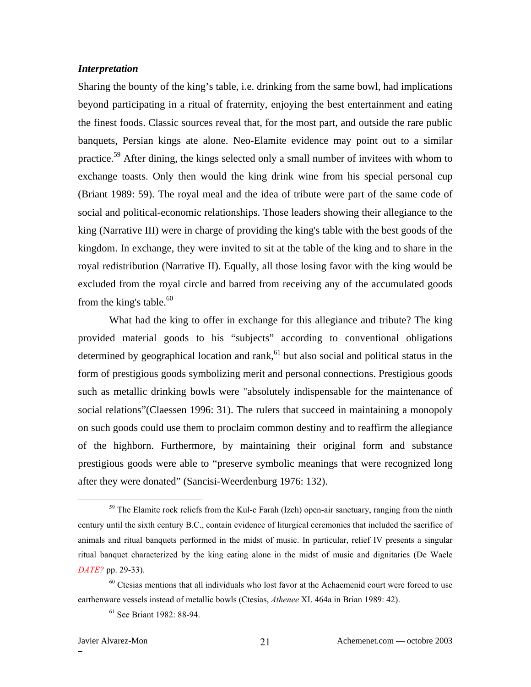### *Interpretation*

Sharing the bounty of the king's table, i.e. drinking from the same bowl, had implications beyond participating in a ritual of fraternity, enjoying the best entertainment and eating the finest foods. Classic sources reveal that, for the most part, and outside the rare public banquets, Persian kings ate alone. Neo-Elamite evidence may point out to a similar practice[.59](#page-20-0) After dining, the kings selected only a small number of invitees with whom to exchange toasts. Only then would the king drink wine from his special personal cup (Briant 1989: 59). The royal meal and the idea of tribute were part of the same code of social and political-economic relationships. Those leaders showing their allegiance to the king (Narrative III) were in charge of providing the king's table with the best goods of the kingdom. In exchange, they were invited to sit at the table of the king and to share in the royal redistribution (Narrative II). Equally, all those losing favor with the king would be excluded from the royal circle and barred from receiving any of the accumulated goods from the king's table. $60$ 

What had the king to offer in exchange for this allegiance and tribute? The king provided material goods to his "subjects" according to conventional obligations determined by geographical location and rank,<sup>61</sup> but also social and political status in the form of prestigious goods symbolizing merit and personal connections. Prestigious goods such as metallic drinking bowls were "absolutely indispensable for the maintenance of social relations"(Claessen 1996: 31). The rulers that succeed in maintaining a monopoly on such goods could use them to proclaim common destiny and to reaffirm the allegiance of the highborn. Furthermore, by maintaining their original form and substance prestigious goods were able to "preserve symbolic meanings that were recognized long after they were donated" (Sancisi-Weerdenburg 1976: 132).

<span id="page-20-0"></span><sup>&</sup>lt;sup>59</sup> The Elamite rock reliefs from the Kul-e Farah (Izeh) open-air sanctuary, ranging from the ninth century until the sixth century B.C., contain evidence of liturgical ceremonies that included the sacrifice of animals and ritual banquets performed in the midst of music. In particular, relief IV presents a singular ritual banquet characterized by the king eating alone in the midst of music and dignitaries (De Waele *DATE?* pp. 29-33).

<sup>&</sup>lt;sup>60</sup> Ctesias mentions that all individuals who lost favor at the Achaemenid court were forced to use earthenware vessels instead of metallic bowls (Ctesias, *Athenee* XI. 464a in Brian 1989: 42).

<span id="page-20-2"></span><span id="page-20-1"></span><sup>61</sup> See Briant 1982: 88-94.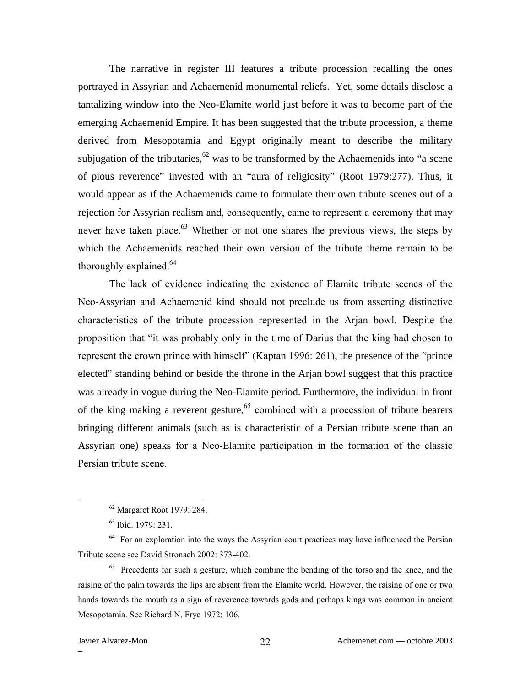The narrative in register III features a tribute procession recalling the ones portrayed in Assyrian and Achaemenid monumental reliefs. Yet, some details disclose a tantalizing window into the Neo-Elamite world just before it was to become part of the emerging Achaemenid Empire. It has been suggested that the tribute procession, a theme derived from Mesopotamia and Egypt originally meant to describe the military subjugation of the tributaries,  $62$  was to be transformed by the Achaemenids into "a scene" of pious reverence" invested with an "aura of religiosity" (Root 1979:277). Thus, it would appear as if the Achaemenids came to formulate their own tribute scenes out of a rejection for Assyrian realism and, consequently, came to represent a ceremony that may never have taken place.<sup>63</sup> Whether or not one shares the previous views, the steps by which the Achaemenids reached their own version of the tribute theme remain to be thoroughly explained. $64$ 

The lack of evidence indicating the existence of Elamite tribute scenes of the Neo-Assyrian and Achaemenid kind should not preclude us from asserting distinctive characteristics of the tribute procession represented in the Arjan bowl. Despite the proposition that "it was probably only in the time of Darius that the king had chosen to represent the crown prince with himself" (Kaptan 1996: 261), the presence of the "prince elected" standing behind or beside the throne in the Arjan bowl suggest that this practice was already in vogue during the Neo-Elamite period. Furthermore, the individual in front of the king making a reverent gesture,<sup>65</sup> combined with a procession of tribute bearers bringing different animals (such as is characteristic of a Persian tribute scene than an Assyrian one) speaks for a Neo-Elamite participation in the formation of the classic Persian tribute scene.

<span id="page-21-0"></span> <sup>62</sup> Margaret Root 1979: 284.

<span id="page-21-2"></span><span id="page-21-1"></span><sup>63</sup> Ibid. 1979: 231.

 $64$  For an exploration into the ways the Assyrian court practices may have influenced the Persian Tribute scene see David Stronach 2002: 373-402.

<span id="page-21-3"></span><sup>&</sup>lt;sup>65</sup> Precedents for such a gesture, which combine the bending of the torso and the knee, and the raising of the palm towards the lips are absent from the Elamite world. However, the raising of one or two hands towards the mouth as a sign of reverence towards gods and perhaps kings was common in ancient Mesopotamia. See Richard N. Frye 1972: 106.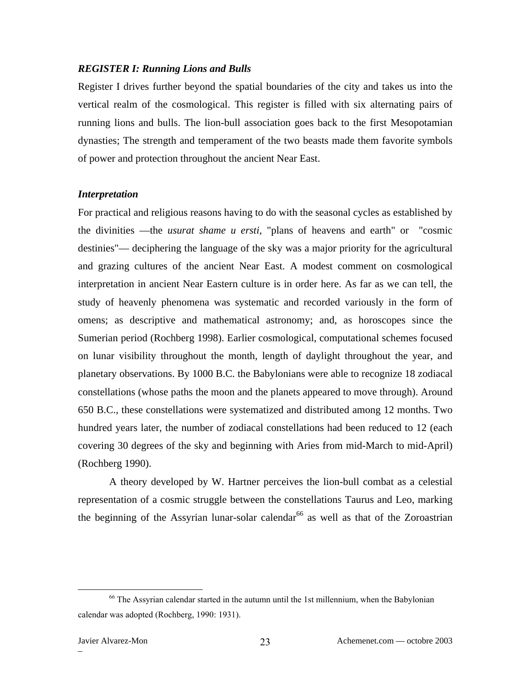#### *REGISTER I: Running Lions and Bulls*

Register I drives further beyond the spatial boundaries of the city and takes us into the vertical realm of the cosmological. This register is filled with six alternating pairs of running lions and bulls. The lion-bull association goes back to the first Mesopotamian dynasties; The strength and temperament of the two beasts made them favorite symbols of power and protection throughout the ancient Near East.

#### *Interpretation*

For practical and religious reasons having to do with the seasonal cycles as established by the divinities —the *usurat shame u ersti*, "plans of heavens and earth" or "cosmic destinies"— deciphering the language of the sky was a major priority for the agricultural and grazing cultures of the ancient Near East. A modest comment on cosmological interpretation in ancient Near Eastern culture is in order here. As far as we can tell, the study of heavenly phenomena was systematic and recorded variously in the form of omens; as descriptive and mathematical astronomy; and, as horoscopes since the Sumerian period (Rochberg 1998). Earlier cosmological, computational schemes focused on lunar visibility throughout the month, length of daylight throughout the year, and planetary observations. By 1000 B.C. the Babylonians were able to recognize 18 zodiacal constellations (whose paths the moon and the planets appeared to move through). Around 650 B.C., these constellations were systematized and distributed among 12 months. Two hundred years later, the number of zodiacal constellations had been reduced to 12 (each covering 30 degrees of the sky and beginning with Aries from mid-March to mid-April) (Rochberg 1990).

A theory developed by W. Hartner perceives the lion-bull combat as a celestial representation of a cosmic struggle between the constellations Taurus and Leo, marking the beginning of the Assyrian lunar-solar calendar<sup>66</sup> as well as that of the Zoroastrian

<span id="page-22-0"></span> <sup>66</sup> The Assyrian calendar started in the autumn until the 1st millennium, when the Babylonian calendar was adopted (Rochberg, 1990: 1931).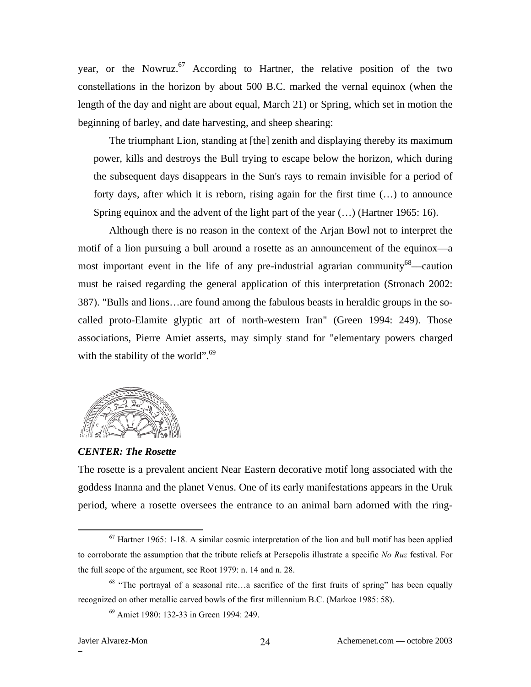year, or the Nowruz.<sup>67</sup> According to Hartner, the relative position of the two constellations in the horizon by about 500 B.C. marked the vernal equinox (when the length of the day and night are about equal, March 21) or Spring, which set in motion the beginning of barley, and date harvesting, and sheep shearing:

The triumphant Lion, standing at [the] zenith and displaying thereby its maximum power, kills and destroys the Bull trying to escape below the horizon, which during the subsequent days disappears in the Sun's rays to remain invisible for a period of forty days, after which it is reborn, rising again for the first time (…) to announce Spring equinox and the advent of the light part of the year (…) (Hartner 1965: 16).

Although there is no reason in the context of the Arjan Bowl not to interpret the motif of a lion pursuing a bull around a rosette as an announcement of the equinox––a most important event in the life of any pre-industrial agrarian community<sup>68</sup>—caution must be raised regarding the general application of this interpretation (Stronach 2002: 387). "Bulls and lions…are found among the fabulous beasts in heraldic groups in the socalled proto-Elamite glyptic art of north-western Iran" (Green 1994: 249). Those associations, Pierre Amiet asserts, may simply stand for "elementary powers charged with the stability of the world". $69$ 



*CENTER: The Rosette* 

The rosette is a prevalent ancient Near Eastern decorative motif long associated with the goddess Inanna and the planet Venus. One of its early manifestations appears in the Uruk period, where a rosette oversees the entrance to an animal barn adorned with the ring-

<span id="page-23-0"></span> $67$  Hartner 1965: 1-18. A similar cosmic interpretation of the lion and bull motif has been applied to corroborate the assumption that the tribute reliefs at Persepolis illustrate a specific *No Ruz* festival. For the full scope of the argument, see Root 1979: n. 14 and n. 28.

<sup>&</sup>lt;sup>68</sup> "The portrayal of a seasonal rite...a sacrifice of the first fruits of spring" has been equally recognized on other metallic carved bowls of the first millennium B.C. (Markoe 1985: 58).

<span id="page-23-2"></span><span id="page-23-1"></span><sup>69</sup> Amiet 1980: 132-33 in Green 1994: 249.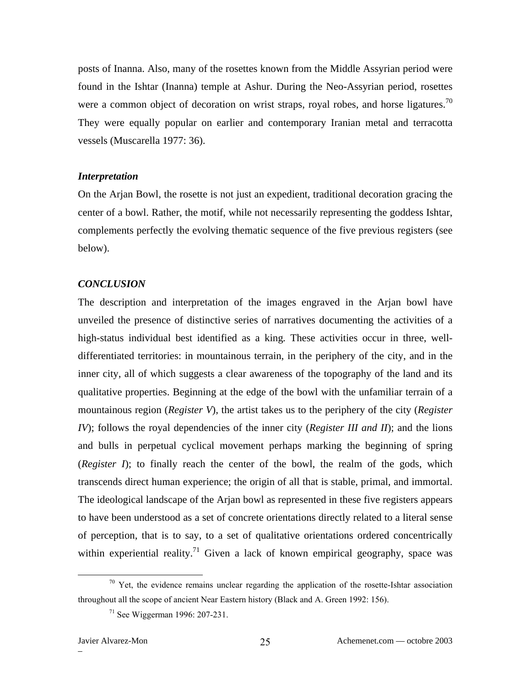posts of Inanna. Also, many of the rosettes known from the Middle Assyrian period were found in the Ishtar (Inanna) temple at Ashur. During the Neo-Assyrian period, rosettes were a common object of decoration on wrist straps, royal robes, and horse ligatures.<sup>[70](#page-24-0)</sup> They were equally popular on earlier and contemporary Iranian metal and terracotta vessels (Muscarella 1977: 36).

## *Interpretation*

On the Arjan Bowl, the rosette is not just an expedient, traditional decoration gracing the center of a bowl. Rather, the motif, while not necessarily representing the goddess Ishtar, complements perfectly the evolving thematic sequence of the five previous registers (see below).

#### *CONCLUSION*

The description and interpretation of the images engraved in the Arjan bowl have unveiled the presence of distinctive series of narratives documenting the activities of a high-status individual best identified as a king*.* These activities occur in three, welldifferentiated territories: in mountainous terrain, in the periphery of the city, and in the inner city, all of which suggests a clear awareness of the topography of the land and its qualitative properties. Beginning at the edge of the bowl with the unfamiliar terrain of a mountainous region (*Register V*), the artist takes us to the periphery of the city (*Register IV*); follows the royal dependencies of the inner city (*Register III and II*); and the lions and bulls in perpetual cyclical movement perhaps marking the beginning of spring (*Register I*); to finally reach the center of the bowl, the realm of the gods, which transcends direct human experience; the origin of all that is stable, primal, and immortal. The ideological landscape of the Arjan bowl as represented in these five registers appears to have been understood as a set of concrete orientations directly related to a literal sense of perception, that is to say, to a set of qualitative orientations ordered concentrically within experiential reality.<sup>71</sup> Given a lack of known empirical geography, space was

 $70$  Yet, the evidence remains unclear regarding the application of the rosette-Ishtar association throughout all the scope of ancient Near Eastern history (Black and A. Green 1992: 156).

<span id="page-24-1"></span><span id="page-24-0"></span><sup>71</sup> See Wiggerman 1996: 207-231.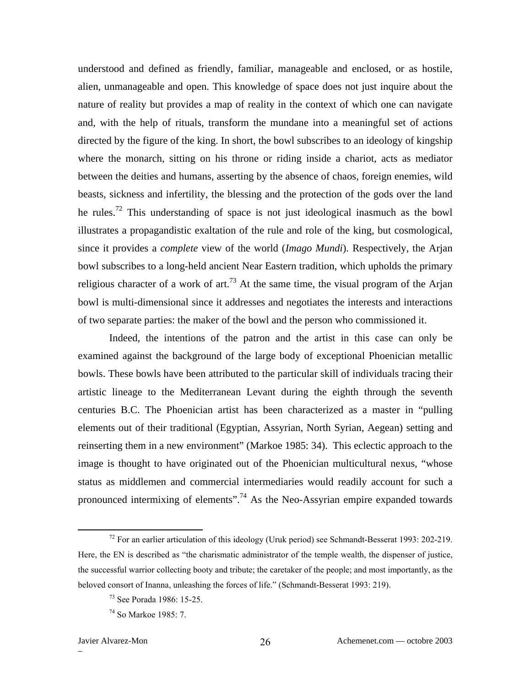understood and defined as friendly, familiar, manageable and enclosed, or as hostile, alien, unmanageable and open. This knowledge of space does not just inquire about the nature of reality but provides a map of reality in the context of which one can navigate and, with the help of rituals, transform the mundane into a meaningful set of actions directed by the figure of the king. In short, the bowl subscribes to an ideology of kingship where the monarch, sitting on his throne or riding inside a chariot, acts as mediator between the deities and humans, asserting by the absence of chaos, foreign enemies, wild beasts, sickness and infertility, the blessing and the protection of the gods over the land he rules.<sup>72</sup> This understanding of space is not just ideological inasmuch as the bowl illustrates a propagandistic exaltation of the rule and role of the king, but cosmological, since it provides a *complete* view of the world (*Imago Mundi*). Respectively, the Arjan bowl subscribes to a long-held ancient Near Eastern tradition, which upholds the primary religious character of a work of art.<sup>73</sup> At the same time, the visual program of the Arjan bowl is multi-dimensional since it addresses and negotiates the interests and interactions of two separate parties: the maker of the bowl and the person who commissioned it.

Indeed, the intentions of the patron and the artist in this case can only be examined against the background of the large body of exceptional Phoenician metallic bowls. These bowls have been attributed to the particular skill of individuals tracing their artistic lineage to the Mediterranean Levant during the eighth through the seventh centuries B.C. The Phoenician artist has been characterized as a master in "pulling elements out of their traditional (Egyptian, Assyrian, North Syrian, Aegean) setting and reinserting them in a new environment" (Markoe 1985: 34). This eclectic approach to the image is thought to have originated out of the Phoenician multicultural nexus, "whose status as middlemen and commercial intermediaries would readily account for such a pronounced intermixing of elements".<sup>74</sup> As the Neo-Assyrian empire expanded towards

<span id="page-25-0"></span> $72$  For an earlier articulation of this ideology (Uruk period) see Schmandt-Besserat 1993: 202-219. Here, the EN is described as "the charismatic administrator of the temple wealth, the dispenser of justice, the successful warrior collecting booty and tribute; the caretaker of the people; and most importantly, as the beloved consort of Inanna, unleashing the forces of life." (Schmandt-Besserat 1993: 219).

<span id="page-25-1"></span><sup>73</sup> See Porada 1986: 15-25.

<span id="page-25-2"></span><sup>74</sup> So Markoe 1985: 7.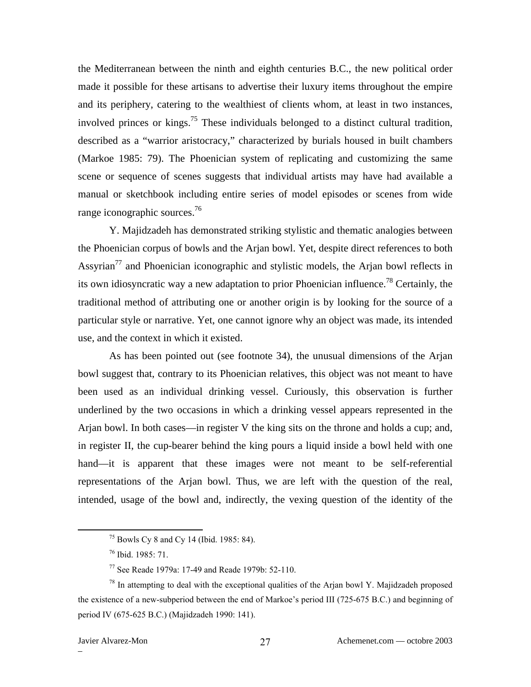the Mediterranean between the ninth and eighth centuries B.C., the new political order made it possible for these artisans to advertise their luxury items throughout the empire and its periphery, catering to the wealthiest of clients whom, at least in two instances, involved princes or kings.<sup>75</sup> These individuals belonged to a distinct cultural tradition, described as a "warrior aristocracy," characterized by burials housed in built chambers (Markoe 1985: 79). The Phoenician system of replicating and customizing the same scene or sequence of scenes suggests that individual artists may have had available a manual or sketchbook including entire series of model episodes or scenes from wide range iconographic sources.<sup>76</sup>

Y. Majidzadeh has demonstrated striking stylistic and thematic analogies between the Phoenician corpus of bowls and the Arjan bowl. Yet, despite direct references to both Assyrian<sup>77</sup> and Phoenician iconographic and stylistic models, the Arjan bowl reflects in its own idiosyncratic way a new adaptation to prior Phoenician influence.<sup>78</sup> Certainly, the traditional method of attributing one or another origin is by looking for the source of a particular style or narrative. Yet, one cannot ignore why an object was made, its intended use, and the context in which it existed.

As has been pointed out (see footnote 34), the unusual dimensions of the Arjan bowl suggest that, contrary to its Phoenician relatives, this object was not meant to have been used as an individual drinking vessel. Curiously, this observation is further underlined by the two occasions in which a drinking vessel appears represented in the Arjan bowl. In both cases—in register V the king sits on the throne and holds a cup; and, in register II, the cup-bearer behind the king pours a liquid inside a bowl held with one hand—it is apparent that these images were not meant to be self-referential representations of the Arjan bowl. Thus, we are left with the question of the real, intended, usage of the bowl and, indirectly, the vexing question of the identity of the

<span id="page-26-0"></span> <sup>75</sup> Bowls Cy 8 and Cy 14 (Ibid. 1985: 84).

<span id="page-26-1"></span><sup>76</sup> Ibid. 1985: 71.

<span id="page-26-3"></span><span id="page-26-2"></span><sup>77</sup> See Reade 1979a: 17-49 and Reade 1979b: 52-110.

 $78$  In attempting to deal with the exceptional qualities of the Arjan bowl Y. Majidzadeh proposed the existence of a new-subperiod between the end of Markoe's period III (725-675 B.C.) and beginning of period IV (675-625 B.C.) (Majidzadeh 1990: 141).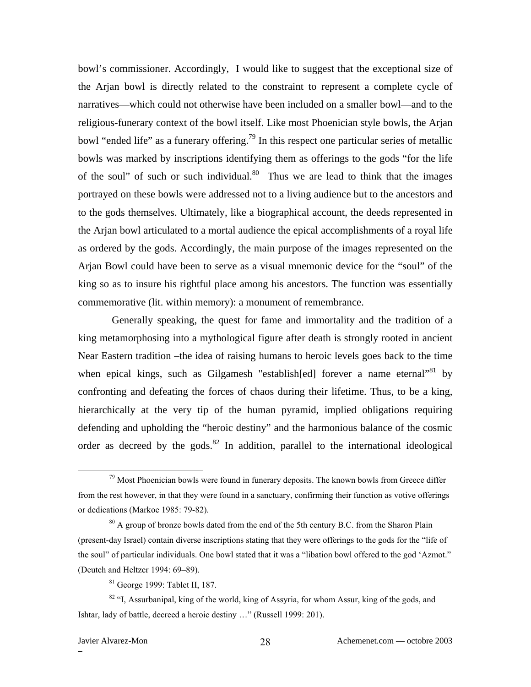bowl's commissioner. Accordingly, I would like to suggest that the exceptional size of the Arjan bowl is directly related to the constraint to represent a complete cycle of narratives—which could not otherwise have been included on a smaller bowl—and to the religious-funerary context of the bowl itself. Like most Phoenician style bowls, the Arjan bowl "ended life" as a funerary offering.<sup>79</sup> In this respect one particular series of metallic bowls was marked by inscriptions identifying them as offerings to the gods "for the life of the soul" of such or such individual. $80$  Thus we are lead to think that the images portrayed on these bowls were addressed not to a living audience but to the ancestors and to the gods themselves. Ultimately, like a biographical account, the deeds represented in the Arjan bowl articulated to a mortal audience the epical accomplishments of a royal life as ordered by the gods. Accordingly, the main purpose of the images represented on the Arjan Bowl could have been to serve as a visual mnemonic device for the "soul" of the king so as to insure his rightful place among his ancestors. The function was essentially commemorative (lit. within memory): a monument of remembrance.

Generally speaking, the quest for fame and immortality and the tradition of a king metamorphosing into a mythological figure after death is strongly rooted in ancient Near Eastern tradition –the idea of raising humans to heroic levels goes back to the time when epical kings, such as Gilgamesh "establish[ed] forever a name eternal"<sup>81</sup> by confronting and defeating the forces of chaos during their lifetime. Thus, to be a king, hierarchically at the very tip of the human pyramid, implied obligations requiring defending and upholding the "heroic destiny" and the harmonious balance of the cosmic order as decreed by the gods. $82$  In addition, parallel to the international ideological

<span id="page-27-0"></span> $79$  Most Phoenician bowls were found in funerary deposits. The known bowls from Greece differ from the rest however, in that they were found in a sanctuary, confirming their function as votive offerings or dedications (Markoe 1985: 79-82).

<span id="page-27-1"></span><sup>&</sup>lt;sup>80</sup> A group of bronze bowls dated from the end of the 5th century B.C. from the Sharon Plain (present-day Israel) contain diverse inscriptions stating that they were offerings to the gods for the "life of the soul" of particular individuals. One bowl stated that it was a "libation bowl offered to the god 'Azmot." (Deutch and Heltzer 1994: 69–89).

<span id="page-27-3"></span><span id="page-27-2"></span><sup>81</sup> George 1999: Tablet II, 187.

<sup>&</sup>lt;sup>82</sup> "I, Assurbanipal, king of the world, king of Assyria, for whom Assur, king of the gods, and Ishtar, lady of battle, decreed a heroic destiny …" (Russell 1999: 201).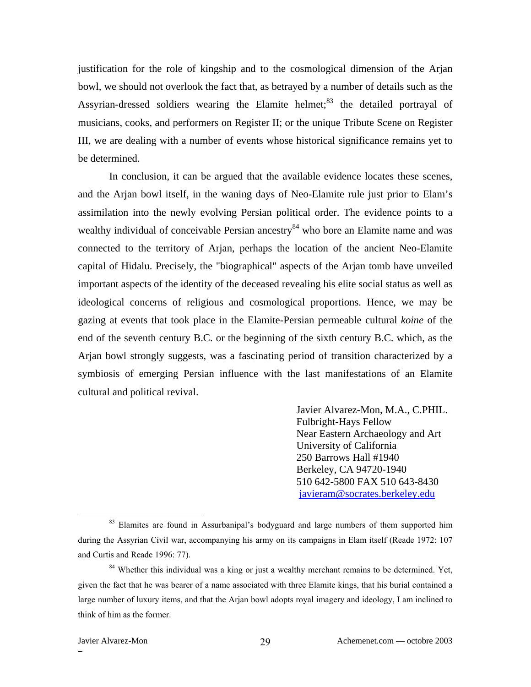justification for the role of kingship and to the cosmological dimension of the Arjan bowl, we should not overlook the fact that, as betrayed by a number of details such as the Assyrian-dressed soldiers wearing the Elamite helmet; $83$  the detailed portrayal of musicians, cooks, and performers on Register II; or the unique Tribute Scene on Register III, we are dealing with a number of events whose historical significance remains yet to be determined.

In conclusion, it can be argued that the available evidence locates these scenes, and the Arjan bowl itself, in the waning days of Neo-Elamite rule just prior to Elam's assimilation into the newly evolving Persian political order. The evidence points to a wealthy individual of conceivable Persian ancestry<sup>84</sup> who bore an Elamite name and was connected to the territory of Arjan, perhaps the location of the ancient Neo-Elamite capital of Hidalu. Precisely, the "biographical" aspects of the Arjan tomb have unveiled important aspects of the identity of the deceased revealing his elite social status as well as ideological concerns of religious and cosmological proportions. Hence, we may be gazing at events that took place in the Elamite-Persian permeable cultural *koine* of the end of the seventh century B.C. or the beginning of the sixth century B.C. which, as the Arjan bowl strongly suggests, was a fascinating period of transition characterized by a symbiosis of emerging Persian influence with the last manifestations of an Elamite cultural and political revival.

> Javier Alvarez-Mon, M.A., C.PHIL. Fulbright-Hays Fellow Near Eastern Archaeology and Art University of California 250 Barrows Hall #1940 Berkeley, CA 94720-1940 510 642-5800 FAX 510 643-8430 [javieram@socrates.berkeley.edu](mailto:javieram@socrates.berkeley.edu)

<span id="page-28-0"></span><sup>&</sup>lt;sup>83</sup> Elamites are found in Assurbanipal's bodyguard and large numbers of them supported him during the Assyrian Civil war, accompanying his army on its campaigns in Elam itself (Reade 1972: 107 and Curtis and Reade 1996: 77).

<span id="page-28-1"></span><sup>&</sup>lt;sup>84</sup> Whether this individual was a king or just a wealthy merchant remains to be determined. Yet, given the fact that he was bearer of a name associated with three Elamite kings, that his burial contained a large number of luxury items, and that the Arjan bowl adopts royal imagery and ideology, I am inclined to think of him as the former.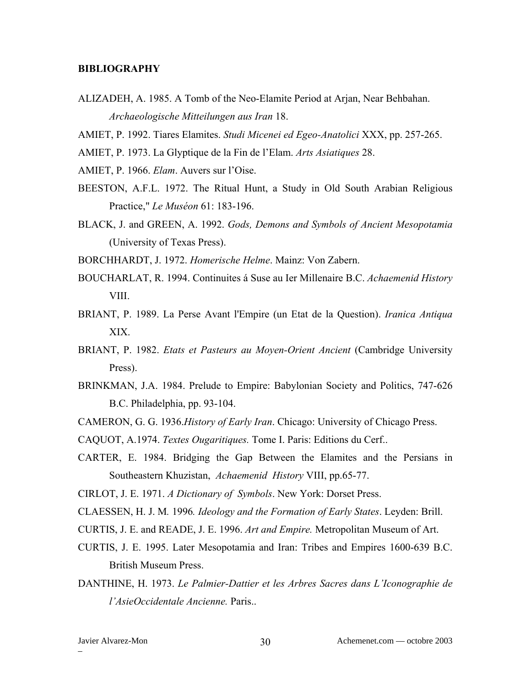#### **BIBLIOGRAPHY**

ALIZADEH, A. 1985. A Tomb of the Neo-Elamite Period at Arjan, Near Behbahan. *Archaeologische Mitteilungen aus Iran* 18.

AMIET, P. 1992. Tiares Elamites. *Studi Micenei ed Egeo-Anatolici* XXX, pp. 257-265.

AMIET, P. 1973. La Glyptique de la Fin de l'Elam. *Arts Asiatiques* 28.

- AMIET, P. 1966. *Elam*. Auvers sur l'Oise.
- BEESTON, A.F.L. 1972. The Ritual Hunt, a Study in Old South Arabian Religious Practice," *Le Muséon* 61: 183-196.
- BLACK, J. and GREEN, A. 1992. *Gods, Demons and Symbols of Ancient Mesopotamia* (University of Texas Press).

BORCHHARDT, J. 1972. *Homerische Helme*. Mainz: Von Zabern.

- BOUCHARLAT, R. 1994. Continuites á Suse au Ier Millenaire B.C. *Achaemenid History*  VIII.
- BRIANT, P. 1989. La Perse Avant l'Empire (un Etat de la Question). *Iranica Antiqua*  XIX.
- BRIANT, P. 1982. *Etats et Pasteurs au Moyen-Orient Ancient* (Cambridge University Press).
- BRINKMAN, J.A. 1984. Prelude to Empire: Babylonian Society and Politics, 747-626 B.C. Philadelphia, pp. 93-104.
- CAMERON, G. G. 1936.*History of Early Iran*. Chicago: University of Chicago Press.
- CAQUOT, A.1974. *Textes Ougaritiques.* Tome I. Paris: Editions du Cerf..
- CARTER, E. 1984. Bridging the Gap Between the Elamites and the Persians in Southeastern Khuzistan, *Achaemenid History* VIII, pp.65-77.

CIRLOT, J. E. 1971. *A Dictionary of Symbols*. New York: Dorset Press.

CLAESSEN, H. J. M*.* 1996*. Ideology and the Formation of Early States*. Leyden: Brill.

- CURTIS, J. E. and READE, J. E. 1996. *Art and Empire.* Metropolitan Museum of Art.
- CURTIS, J. E. 1995. Later Mesopotamia and Iran: Tribes and Empires 1600-639 B.C. British Museum Press.
- DANTHINE, H. 1973. *Le Palmier-Dattier et les Arbres Sacres dans L'Iconographie de l'AsieOccidentale Ancienne.* Paris..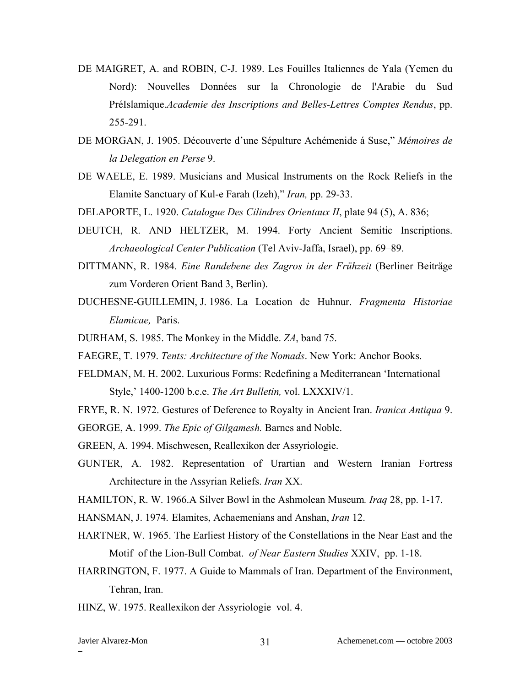- DE MAIGRET, A. and ROBIN, C-J. 1989. Les Fouilles Italiennes de Yala (Yemen du Nord): Nouvelles Données sur la Chronologie de l'Arabie du Sud PréIslamique.*Academie des Inscriptions and Belles-Lettres Comptes Rendus*, pp. 255-291.
- DE MORGAN, J. 1905. Découverte d'une Sépulture Achémenide á Suse," *Mémoires de la Delegation en Perse* 9.
- DE WAELE, E. 1989. Musicians and Musical Instruments on the Rock Reliefs in the Elamite Sanctuary of Kul-e Farah (Izeh)," *Iran,* pp. 29-33.
- DELAPORTE, L. 1920. *Catalogue Des Cilindres Orientaux II*, plate 94 (5), A. 836;
- DEUTCH, R. AND HELTZER, M. 1994. Forty Ancient Semitic Inscriptions. *Archaeological Center Publication* (Tel Aviv-Jaffa, Israel), pp. 69–89.
- DITTMANN, R. 1984. *Eine Randebene des Zagros in der Frühzeit* (Berliner Beiträge zum Vorderen Orient Band 3, Berlin).
- DUCHESNE-GUILLEMIN, J. 1986. La Location de Huhnur. *Fragmenta Historiae Elamicae,* Paris.
- DURHAM, S. 1985. The Monkey in the Middle. *ZA*, band 75.
- FAEGRE, T. 1979. *Tents: Architecture of the Nomads*. New York: Anchor Books.
- FELDMAN, M. H. 2002. Luxurious Forms: Redefining a Mediterranean 'International Style,' 1400-1200 b.c.e. *The Art Bulletin,* vol. LXXXIV/1.
- FRYE, R. N. 1972. Gestures of Deference to Royalty in Ancient Iran. *Iranica Antiqua* 9.
- GEORGE, A. 1999. *The Epic of Gilgamesh.* Barnes and Noble.
- GREEN, A. 1994. Mischwesen, Reallexikon der Assyriologie.
- GUNTER, A. 1982. Representation of Urartian and Western Iranian Fortress Architecture in the Assyrian Reliefs. *Iran* XX.

HAMILTON, R. W. 1966.A Silver Bowl in the Ashmolean Museum*. Iraq* 28, pp. 1-17.

HANSMAN, J. 1974. Elamites, Achaemenians and Anshan, *Iran* 12.

- HARTNER, W. 1965. The Earliest History of the Constellations in the Near East and the Motif of the Lion-Bull Combat. *of Near Eastern Studies* XXIV, pp. 1-18.
- HARRINGTON, F. 1977. A Guide to Mammals of Iran. Department of the Environment, Tehran, Iran.
- HINZ, W. 1975. Reallexikon der Assyriologie vol. 4.

Javier Alvarez-Mon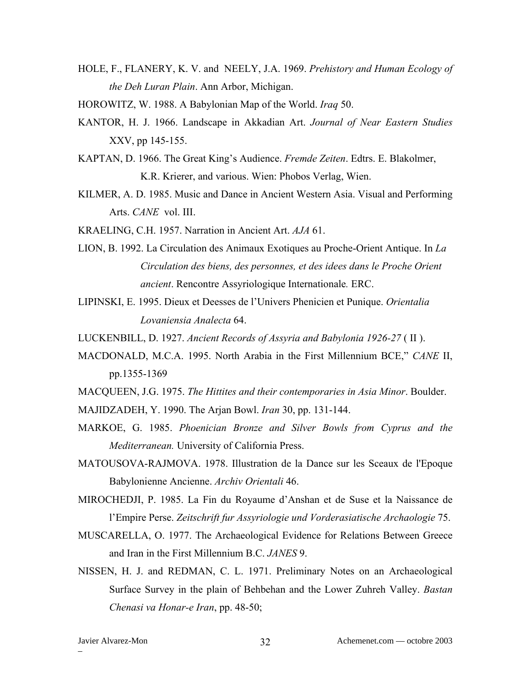HOLE, F., FLANERY, K. V. and NEELY, J.A. 1969. *Prehistory and Human Ecology of the Deh Luran Plain*. Ann Arbor, Michigan.

HOROWITZ, W. 1988. A Babylonian Map of the World. *Iraq* 50.

- KANTOR, H. J. 1966. Landscape in Akkadian Art. *Journal of Near Eastern Studies* XXV, pp 145-155.
- KAPTAN, D. 1966. The Great King's Audience. *Fremde Zeiten*. Edtrs. E. Blakolmer, K.R. Krierer, and various. Wien: Phobos Verlag, Wien.
- KILMER, A. D. 1985. Music and Dance in Ancient Western Asia. Visual and Performing Arts. *CANE* vol. III.
- KRAELING, C.H. 1957. Narration in Ancient Art. *AJA* 61.
- LION, B. 1992. La Circulation des Animaux Exotiques au Proche-Orient Antique. In *La Circulation des biens, des personnes, et des idees dans le Proche Orient ancient*. Rencontre Assyriologique Internationale*.* ERC.
- LIPINSKI, E. 1995. Dieux et Deesses de l'Univers Phenicien et Punique. *Orientalia Lovaniensia Analecta* 64.
- LUCKENBILL, D. 1927. *Ancient Records of Assyria and Babylonia 1926-27* ( II ).
- MACDONALD, M.C.A. 1995. North Arabia in the First Millennium BCE," *CANE* II, pp.1355-1369
- MACQUEEN, J.G. 1975. *The Hittites and their contemporaries in Asia Minor*. Boulder.
- MAJIDZADEH, Y. 1990. The Arjan Bowl. *Iran* 30, pp. 131-144.
- MARKOE, G. 1985. *Phoenician Bronze and Silver Bowls from Cyprus and the Mediterranean.* University of California Press.
- MATOUSOVA-RAJMOVA. 1978. Illustration de la Dance sur les Sceaux de l'Epoque Babylonienne Ancienne. *Archiv Orientali* 46.
- MIROCHEDJI, P. 1985. La Fin du Royaume d'Anshan et de Suse et la Naissance de l'Empire Perse. *Zeitschrift fur Assyriologie und Vorderasiatische Archaologie* 75.
- MUSCARELLA, O. 1977. The Archaeological Evidence for Relations Between Greece and Iran in the First Millennium B.C. *JANES* 9.
- NISSEN, H. J. and REDMAN, C. L. 1971. Preliminary Notes on an Archaeological Surface Survey in the plain of Behbehan and the Lower Zuhreh Valley. *Bastan Chenasi va Honar-e Iran*, pp. 48-50;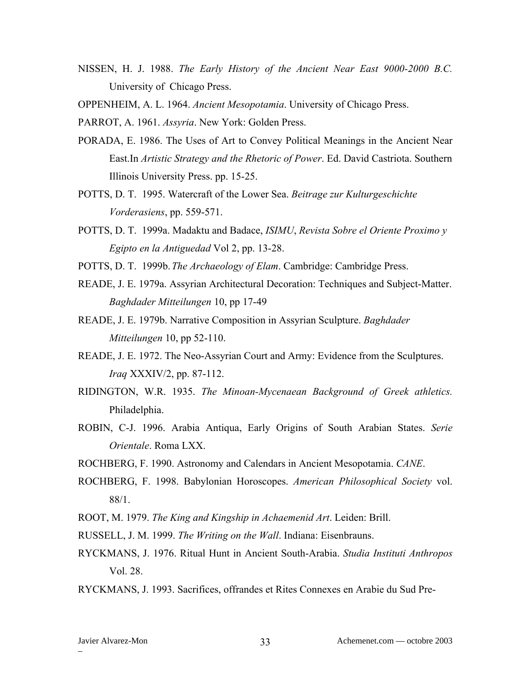- NISSEN, H. J. 1988. *The Early History of the Ancient Near East 9000-2000 B.C.* University of Chicago Press.
- OPPENHEIM, A. L. 1964. *Ancient Mesopotamia*. University of Chicago Press.
- PARROT, A. 1961. *Assyria*. New York: Golden Press.
- PORADA, E. 1986. The Uses of Art to Convey Political Meanings in the Ancient Near East.In *Artistic Strategy and the Rhetoric of Power*. Ed. David Castriota. Southern Illinois University Press. pp. 15-25.
- POTTS, D. T. 1995. Watercraft of the Lower Sea. *Beitrage zur Kulturgeschichte Vorderasiens*, pp. 559-571.
- POTTS, D. T. 1999a. Madaktu and Badace, *ISIMU*, *Revista Sobre el Oriente Proximo y Egipto en la Antiguedad* Vol 2, pp. 13-28.
- POTTS, D. T. 1999b. *The Archaeology of Elam*. Cambridge: Cambridge Press.
- READE, J. E. 1979a. Assyrian Architectural Decoration: Techniques and Subject-Matter. *Baghdader Mitteilungen* 10, pp 17-49
- READE, J. E. 1979b. Narrative Composition in Assyrian Sculpture. *Baghdader Mitteilungen* 10, pp 52-110.
- READE, J. E. 1972. The Neo-Assyrian Court and Army: Evidence from the Sculptures. *Iraq* XXXIV/2, pp. 87-112.
- RIDINGTON, W.R. 1935. *The Minoan-Mycenaean Background of Greek athletics.*  Philadelphia.
- ROBIN, C-J. 1996. Arabia Antiqua, Early Origins of South Arabian States. *Serie Orientale*. Roma LXX.
- ROCHBERG, F. 1990. Astronomy and Calendars in Ancient Mesopotamia. *CANE*.
- ROCHBERG, F. 1998. Babylonian Horoscopes. *American Philosophical Society* vol. 88/1.
- ROOT, M. 1979. *The King and Kingship in Achaemenid Art*. Leiden: Brill.
- RUSSELL, J. M. 1999. *The Writing on the Wall*. Indiana: Eisenbrauns.
- RYCKMANS, J. 1976. Ritual Hunt in Ancient South-Arabia. *Studia Instituti Anthropos* Vol. 28.
- RYCKMANS, J. 1993. Sacrifices, offrandes et Rites Connexes en Arabie du Sud Pre-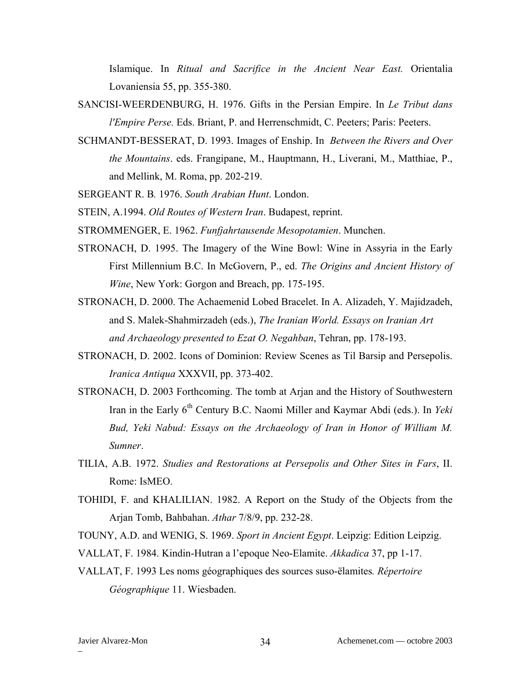Islamique. In *Ritual and Sacrifice in the Ancient Near East.* Orientalia Lovaniensia 55, pp. 355-380.

- SANCISI-WEERDENBURG, H. 1976. Gifts in the Persian Empire. In *Le Tribut dans l'Empire Perse.* Eds. Briant, P. and Herrenschmidt, C. Peeters; Paris: Peeters.
- SCHMANDT-BESSERAT, D. 1993. Images of Enship. In *Between the Rivers and Over the Mountains*. eds. Frangipane, M., Hauptmann, H., Liverani, M., Matthiae, P., and Mellink, M. Roma, pp. 202-219.
- SERGEANT R. B*.* 1976. *South Arabian Hunt*. London.
- STEIN, A.1994. *Old Routes of Western Iran*. Budapest, reprint.
- STROMMENGER, E. 1962. *Funfjahrtausende Mesopotamien*. Munchen.
- STRONACH, D. 1995. The Imagery of the Wine Bowl: Wine in Assyria in the Early First Millennium B.C. In McGovern, P., ed. *The Origins and Ancient History of Wine*, New York: Gorgon and Breach, pp. 175-195.
- STRONACH, D. 2000. The Achaemenid Lobed Bracelet. In A. Alizadeh, Y. Majidzadeh, and S. Malek-Shahmirzadeh (eds.), *The Iranian World. Essays on Iranian Art and Archaeology presented to Ezat O. Negahban*, Tehran, pp. 178-193.
- STRONACH, D. 2002. Icons of Dominion: Review Scenes as Til Barsip and Persepolis. *Iranica Antiqua* XXXVII, pp. 373-402.
- STRONACH, D. 2003 Forthcoming. The tomb at Arjan and the History of Southwestern Iran in the Early 6<sup>th</sup> Century B.C. Naomi Miller and Kaymar Abdi (eds.). In *Yeki Bud, Yeki Nabud: Essays on the Archaeology of Iran in Honor of William M. Sumner*.
- TILIA, A.B. 1972. *Studies and Restorations at Persepolis and Other Sites in Fars*, II. Rome: IsMEO.
- TOHIDI, F. and KHALILIAN. 1982. A Report on the Study of the Objects from the Arjan Tomb, Bahbahan. *Athar* 7/8/9, pp. 232-28.
- TOUNY, A.D. and WENIG, S. 1969. *Sport in Ancient Egypt*. Leipzig: Edition Leipzig.
- VALLAT, F. 1984. Kindin-Hutran a l'epoque Neo-Elamite. *Akkadica* 37, pp 1-17.
- VALLAT, F. 1993 Les noms géographiques des sources suso-ëlamites*. Répertoire Géographique* 11. Wiesbaden.